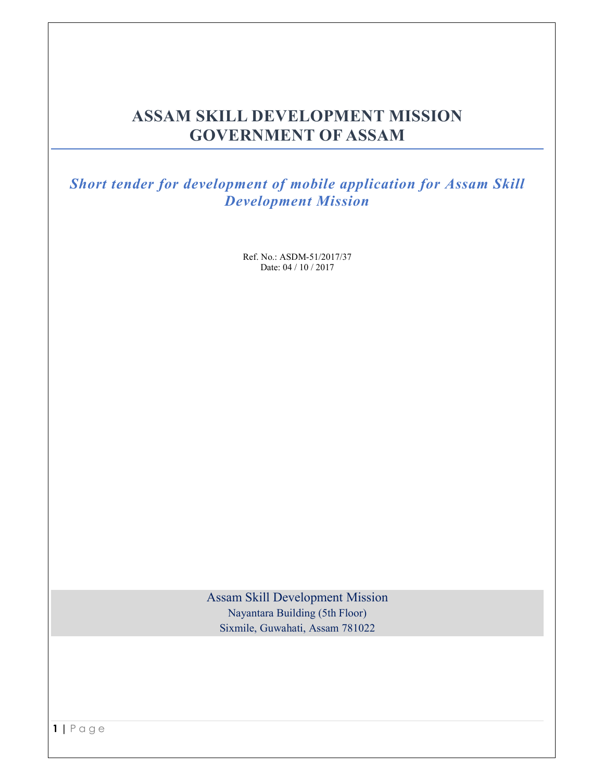# **ASSAM SKILL DEVELOPMENT MISSION GOVERNMENT OF ASSAM**

*Short tender for development of mobile application for Assam Skill Development Mission* 

> Ref. No.: ASDM-51/2017/37 Date: 04 / 10 / 2017

Assam Skill Development Mission Nayantara Building (5th Floor) Sixmile, Guwahati, Assam 781022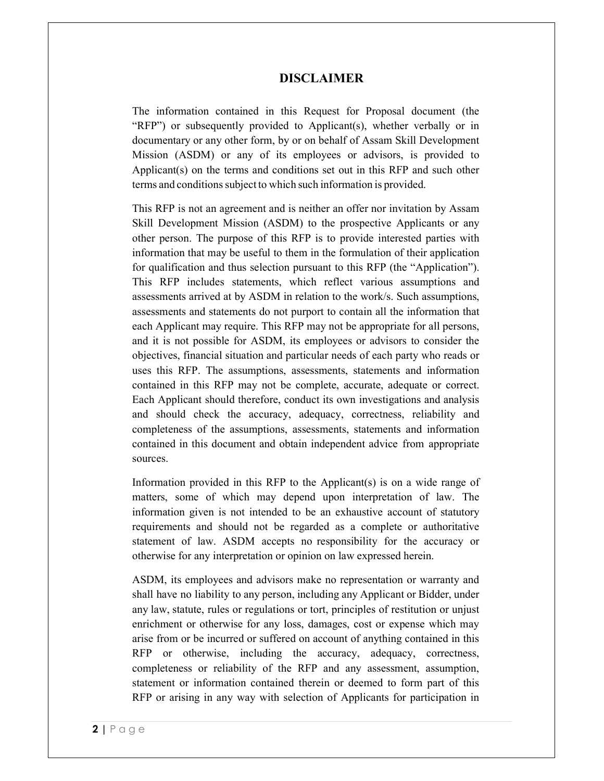#### **DISCLAIMER**

The information contained in this Request for Proposal document (the "RFP") or subsequently provided to Applicant(s), whether verbally or in documentary or any other form, by or on behalf of Assam Skill Development Mission (ASDM) or any of its employees or advisors, is provided to Applicant(s) on the terms and conditions set out in this RFP and such other terms and conditions subject to which such information is provided.

This RFP is not an agreement and is neither an offer nor invitation by Assam Skill Development Mission (ASDM) to the prospective Applicants or any other person. The purpose of this RFP is to provide interested parties with information that may be useful to them in the formulation of their application for qualification and thus selection pursuant to this RFP (the "Application"). This RFP includes statements, which reflect various assumptions and assessments arrived at by ASDM in relation to the work/s. Such assumptions, assessments and statements do not purport to contain all the information that each Applicant may require. This RFP may not be appropriate for all persons, and it is not possible for ASDM, its employees or advisors to consider the objectives, financial situation and particular needs of each party who reads or uses this RFP. The assumptions, assessments, statements and information contained in this RFP may not be complete, accurate, adequate or correct. Each Applicant should therefore, conduct its own investigations and analysis and should check the accuracy, adequacy, correctness, reliability and completeness of the assumptions, assessments, statements and information contained in this document and obtain independent advice from appropriate sources.

Information provided in this RFP to the Applicant(s) is on a wide range of matters, some of which may depend upon interpretation of law. The information given is not intended to be an exhaustive account of statutory requirements and should not be regarded as a complete or authoritative statement of law. ASDM accepts no responsibility for the accuracy or otherwise for any interpretation or opinion on law expressed herein.

ASDM, its employees and advisors make no representation or warranty and shall have no liability to any person, including any Applicant or Bidder, under any law, statute, rules or regulations or tort, principles of restitution or unjust enrichment or otherwise for any loss, damages, cost or expense which may arise from or be incurred or suffered on account of anything contained in this RFP or otherwise, including the accuracy, adequacy, correctness, completeness or reliability of the RFP and any assessment, assumption, statement or information contained therein or deemed to form part of this RFP or arising in any way with selection of Applicants for participation in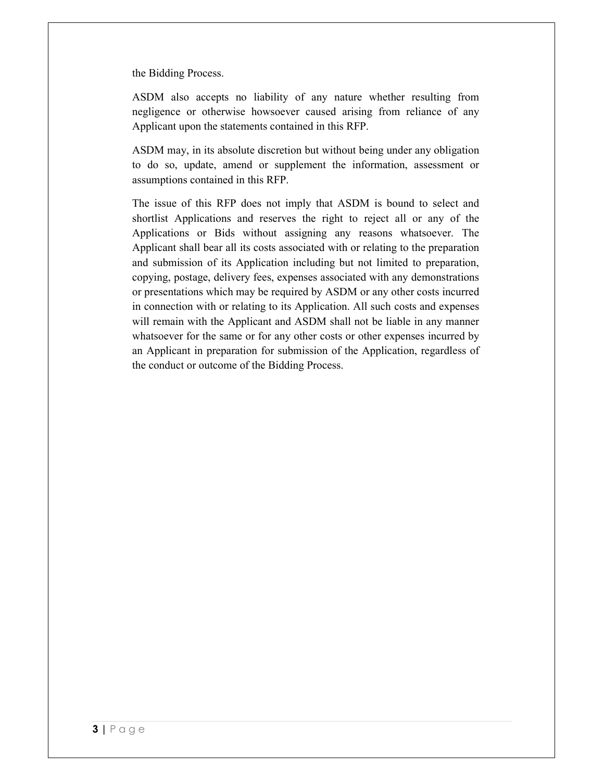the Bidding Process.

ASDM also accepts no liability of any nature whether resulting from negligence or otherwise howsoever caused arising from reliance of any Applicant upon the statements contained in this RFP.

ASDM may, in its absolute discretion but without being under any obligation to do so, update, amend or supplement the information, assessment or assumptions contained in this RFP.

The issue of this RFP does not imply that ASDM is bound to select and shortlist Applications and reserves the right to reject all or any of the Applications or Bids without assigning any reasons whatsoever. The Applicant shall bear all its costs associated with or relating to the preparation and submission of its Application including but not limited to preparation, copying, postage, delivery fees, expenses associated with any demonstrations or presentations which may be required by ASDM or any other costs incurred in connection with or relating to its Application. All such costs and expenses will remain with the Applicant and ASDM shall not be liable in any manner whatsoever for the same or for any other costs or other expenses incurred by an Applicant in preparation for submission of the Application, regardless of the conduct or outcome of the Bidding Process.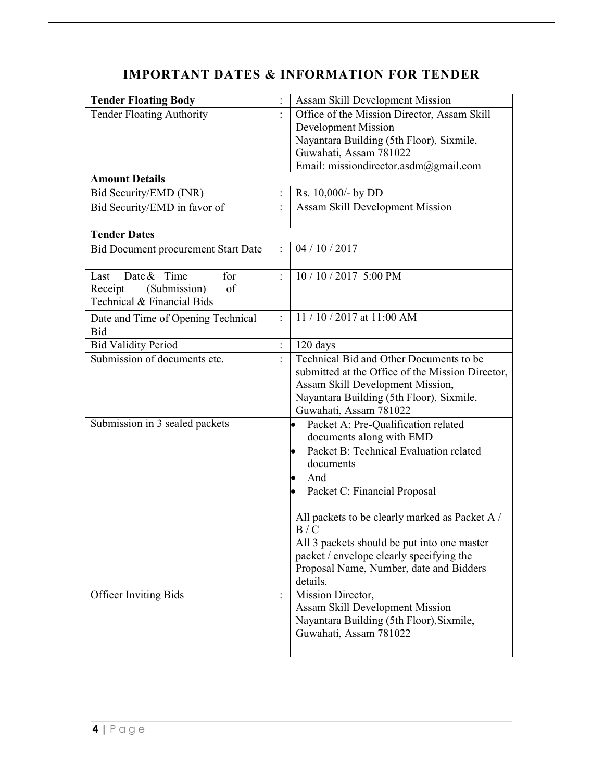# **IMPORTANT DATES & INFORMATION FOR TENDER**

| <b>Tender Floating Body</b>                | $\ddot{\cdot}$<br><b>Assam Skill Development Mission</b>  |
|--------------------------------------------|-----------------------------------------------------------|
| <b>Tender Floating Authority</b>           | Office of the Mission Director, Assam Skill               |
|                                            | <b>Development Mission</b>                                |
|                                            | Nayantara Building (5th Floor), Sixmile,                  |
|                                            | Guwahati, Assam 781022                                    |
|                                            |                                                           |
| <b>Amount Details</b>                      | Email: missiondirector.asdm@gmail.com                     |
| Bid Security/EMD (INR)                     | Rs. 10,000/- by DD                                        |
|                                            | $\ddot{\cdot}$                                            |
| Bid Security/EMD in favor of               | Assam Skill Development Mission                           |
| <b>Tender Dates</b>                        |                                                           |
| <b>Bid Document procurement Start Date</b> | 04/10/2017<br>$\ddot{\cdot}$                              |
| Date & Time<br>for<br>Last                 | 10 / 10 / 2017 5:00 PM<br>$\ddot{\cdot}$                  |
| (Submission)<br>of<br>Receipt              |                                                           |
| Technical & Financial Bids                 |                                                           |
| Date and Time of Opening Technical         | 11 / 10 / 2017 at 11:00 AM<br>$\ddot{\cdot}$              |
| <b>Bid</b>                                 |                                                           |
| <b>Bid Validity Period</b>                 | $\ddot{\cdot}$<br>120 days                                |
| Submission of documents etc.               | Technical Bid and Other Documents to be<br>$\ddot{\cdot}$ |
|                                            | submitted at the Office of the Mission Director,          |
|                                            | Assam Skill Development Mission,                          |
|                                            | Nayantara Building (5th Floor), Sixmile,                  |
|                                            | Guwahati, Assam 781022                                    |
| Submission in 3 sealed packets             | $\bullet$<br>Packet A: Pre-Qualification related          |
|                                            | documents along with EMD                                  |
|                                            | Packet B: Technical Evaluation related<br>$\bullet$       |
|                                            | documents                                                 |
|                                            | And<br>$\bullet$                                          |
|                                            |                                                           |
|                                            | Packet C: Financial Proposal                              |
|                                            | All packets to be clearly marked as Packet A /            |
|                                            | B/C                                                       |
|                                            | All 3 packets should be put into one master               |
|                                            | packet / envelope clearly specifying the                  |
|                                            | Proposal Name, Number, date and Bidders                   |
|                                            | details.                                                  |
| <b>Officer Inviting Bids</b>               | Mission Director,<br>$\ddot{\cdot}$                       |
|                                            | Assam Skill Development Mission                           |
|                                            | Nayantara Building (5th Floor), Sixmile,                  |
|                                            | Guwahati, Assam 781022                                    |
|                                            |                                                           |
|                                            |                                                           |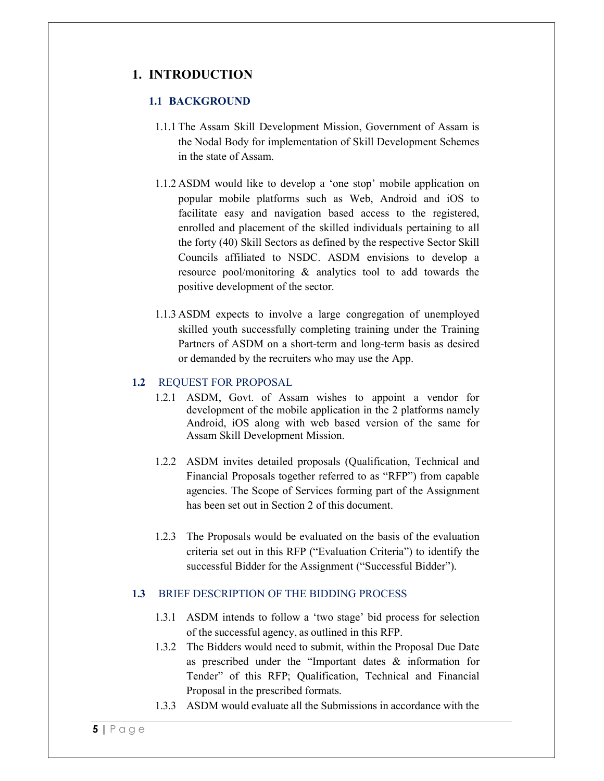## **1. INTRODUCTION**

#### **1.1 BACKGROUND**

- 1.1.1 The Assam Skill Development Mission, Government of Assam is the Nodal Body for implementation of Skill Development Schemes in the state of Assam.
- 1.1.2 ASDM would like to develop a 'one stop' mobile application on popular mobile platforms such as Web, Android and iOS to facilitate easy and navigation based access to the registered, enrolled and placement of the skilled individuals pertaining to all the forty (40) Skill Sectors as defined by the respective Sector Skill Councils affiliated to NSDC. ASDM envisions to develop a resource pool/monitoring & analytics tool to add towards the positive development of the sector.
- 1.1.3 ASDM expects to involve a large congregation of unemployed skilled youth successfully completing training under the Training Partners of ASDM on a short-term and long-term basis as desired or demanded by the recruiters who may use the App.

#### **1.2** REQUEST FOR PROPOSAL

- 1.2.1 ASDM, Govt. of Assam wishes to appoint a vendor for development of the mobile application in the 2 platforms namely Android, iOS along with web based version of the same for Assam Skill Development Mission.
- 1.2.2 ASDM invites detailed proposals (Qualification, Technical and Financial Proposals together referred to as "RFP") from capable agencies. The Scope of Services forming part of the Assignment has been set out in Section 2 of this document.
- 1.2.3 The Proposals would be evaluated on the basis of the evaluation criteria set out in this RFP ("Evaluation Criteria") to identify the successful Bidder for the Assignment ("Successful Bidder").

#### **1.3** BRIEF DESCRIPTION OF THE BIDDING PROCESS

- 1.3.1 ASDM intends to follow a 'two stage' bid process for selection of the successful agency, as outlined in this RFP.
- 1.3.2 The Bidders would need to submit, within the Proposal Due Date as prescribed under the "Important dates & information for Tender" of this RFP; Qualification, Technical and Financial Proposal in the prescribed formats.
- 1.3.3 ASDM would evaluate all the Submissions in accordance with the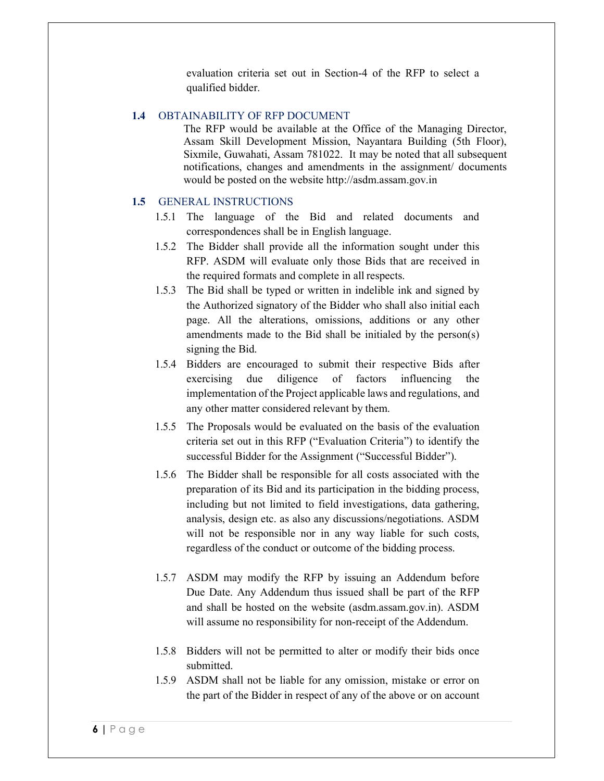evaluation criteria set out in Section-4 of the RFP to select a qualified bidder.

#### **1.4** OBTAINABILITY OF RFP DOCUMENT

The RFP would be available at the Office of the Managing Director, Assam Skill Development Mission, Nayantara Building (5th Floor), Sixmile, Guwahati, Assam 781022. It may be noted that all subsequent notifications, changes and amendments in the assignment/ documents would be posted on the website http://asdm.assam.gov.in

## **1.5** GENERAL INSTRUCTIONS

- 1.5.1 The language of the Bid and related documents and correspondences shall be in English language.
- 1.5.2 The Bidder shall provide all the information sought under this RFP. ASDM will evaluate only those Bids that are received in the required formats and complete in all respects.
- 1.5.3 The Bid shall be typed or written in indelible ink and signed by the Authorized signatory of the Bidder who shall also initial each page. All the alterations, omissions, additions or any other amendments made to the Bid shall be initialed by the person(s) signing the Bid.
- 1.5.4 Bidders are encouraged to submit their respective Bids after exercising due diligence of factors influencing the implementation of the Project applicable laws and regulations, and any other matter considered relevant by them.
- 1.5.5 The Proposals would be evaluated on the basis of the evaluation criteria set out in this RFP ("Evaluation Criteria") to identify the successful Bidder for the Assignment ("Successful Bidder").
- 1.5.6 The Bidder shall be responsible for all costs associated with the preparation of its Bid and its participation in the bidding process, including but not limited to field investigations, data gathering, analysis, design etc. as also any discussions/negotiations. ASDM will not be responsible nor in any way liable for such costs, regardless of the conduct or outcome of the bidding process.
- 1.5.7 ASDM may modify the RFP by issuing an Addendum before Due Date. Any Addendum thus issued shall be part of the RFP and shall be hosted on the website (asdm.assam.gov.in). ASDM will assume no responsibility for non-receipt of the Addendum.
- 1.5.8 Bidders will not be permitted to alter or modify their bids once submitted.
- 1.5.9 ASDM shall not be liable for any omission, mistake or error on the part of the Bidder in respect of any of the above or on account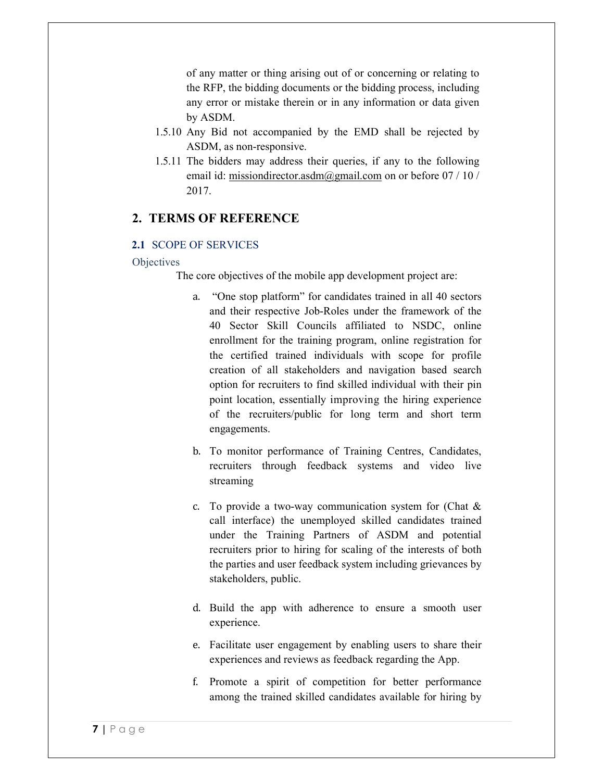of any matter or thing arising out of or concerning or relating to the RFP, the bidding documents or the bidding process, including any error or mistake therein or in any information or data given by ASDM.

- 1.5.10 Any Bid not accompanied by the EMD shall be rejected by ASDM, as non-responsive.
- 1.5.11 The bidders may address their queries, if any to the following email id: missiondirector.asdm@gmail.com on or before 07 / 10 / 2017.

## **2. TERMS OF REFERENCE**

#### **2.1** SCOPE OF SERVICES

#### **Objectives**

The core objectives of the mobile app development project are:

- a. "One stop platform" for candidates trained in all 40 sectors and their respective Job-Roles under the framework of the 40 Sector Skill Councils affiliated to NSDC, online enrollment for the training program, online registration for the certified trained individuals with scope for profile creation of all stakeholders and navigation based search option for recruiters to find skilled individual with their pin point location, essentially improving the hiring experience of the recruiters/public for long term and short term engagements.
- b. To monitor performance of Training Centres, Candidates, recruiters through feedback systems and video live streaming
- c. To provide a two-way communication system for (Chat & call interface) the unemployed skilled candidates trained under the Training Partners of ASDM and potential recruiters prior to hiring for scaling of the interests of both the parties and user feedback system including grievances by stakeholders, public.
- d. Build the app with adherence to ensure a smooth user experience.
- e. Facilitate user engagement by enabling users to share their experiences and reviews as feedback regarding the App.
- f. Promote a spirit of competition for better performance among the trained skilled candidates available for hiring by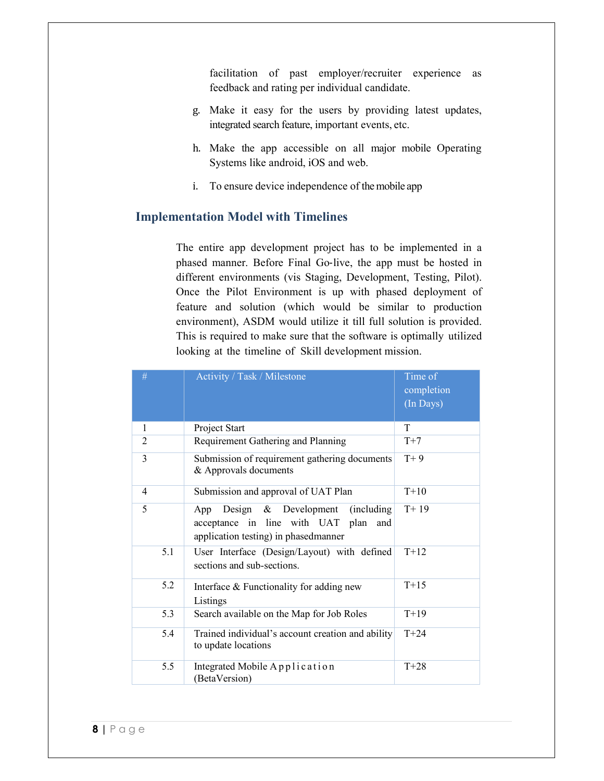facilitation of past employer/recruiter experience as feedback and rating per individual candidate.

- g. Make it easy for the users by providing latest updates, integrated search feature, important events, etc.
- h. Make the app accessible on all major mobile Operating Systems like android, iOS and web.
- i. To ensure device independence of the mobile app

### **Implementation Model with Timelines**

The entire app development project has to be implemented in a phased manner. Before Final Go‐live, the app must be hosted in different environments (vis Staging, Development, Testing, Pilot). Once the Pilot Environment is up with phased deployment of feature and solution (which would be similar to production environment), ASDM would utilize it till full solution is provided. This is required to make sure that the software is optimally utilized looking at the timeline of Skill development mission.

| #              | Activity / Task / Milestone                                                                                                      | Time of<br>completion<br>(In Days) |
|----------------|----------------------------------------------------------------------------------------------------------------------------------|------------------------------------|
| 1              | Project Start                                                                                                                    | T                                  |
| $\overline{2}$ | Requirement Gathering and Planning                                                                                               | $T+7$                              |
| 3              | Submission of requirement gathering documents<br>& Approvals documents                                                           | $T+9$                              |
| $\overline{4}$ | Submission and approval of UAT Plan                                                                                              | $T+10$                             |
| 5              | Design & Development<br>(including)<br>App<br>acceptance in line with UAT<br>plan<br>and<br>application testing) in phasedmanner | $T+19$                             |
| 5.1            | User Interface (Design/Layout) with defined<br>sections and sub-sections.                                                        | $T+12$                             |
| 5.2            | Interface & Functionality for adding new<br>Listings                                                                             | $T+15$                             |
| 5.3            | Search available on the Map for Job Roles                                                                                        | $T+19$                             |
| 5.4            | Trained individual's account creation and ability<br>to update locations                                                         | $T+24$                             |
| 5.5            | Integrated Mobile Application<br>(BetaVersion)                                                                                   | $T+28$                             |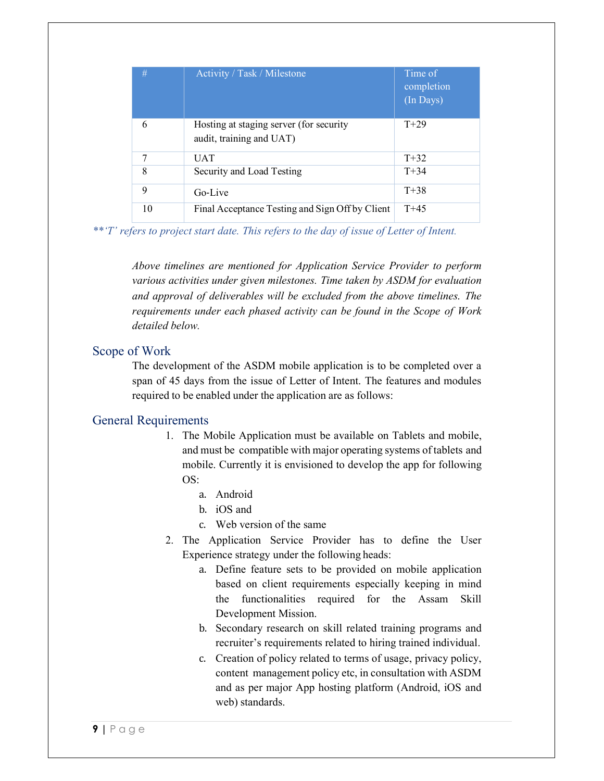| #  | Activity / Task / Milestone                                         | Time of<br>completion<br>(In Days) |
|----|---------------------------------------------------------------------|------------------------------------|
| 6  | Hosting at staging server (for security<br>audit, training and UAT) | $T+29$                             |
| 7  | <b>UAT</b>                                                          | $T + 32$                           |
| 8  | Security and Load Testing                                           | $T + 34$                           |
| 9  | Go-Live                                                             | $T + 38$                           |
| 10 | Final Acceptance Testing and Sign Off by Client                     | $T + 45$                           |

*\*\*'T' refers to project start date. This refers to the day of issue of Letter of Intent.* 

*Above timelines are mentioned for Application Service Provider to perform various activities under given milestones. Time taken by ASDM for evaluation and approval of deliverables will be excluded from the above timelines. The requirements under each phased activity can be found in the Scope of Work detailed below.* 

### Scope of Work

The development of the ASDM mobile application is to be completed over a span of 45 days from the issue of Letter of Intent. The features and modules required to be enabled under the application are as follows:

#### General Requirements

- 1. The Mobile Application must be available on Tablets and mobile, and must be compatible with major operating systems of tablets and mobile. Currently it is envisioned to develop the app for following  $OS$ 
	- a. Android
	- b. iOS and
	- c. Web version of the same
- 2. The Application Service Provider has to define the User Experience strategy under the following heads:
	- a. Define feature sets to be provided on mobile application based on client requirements especially keeping in mind the functionalities required for the Assam Skill Development Mission.
	- b. Secondary research on skill related training programs and recruiter's requirements related to hiring trained individual.
	- c. Creation of policy related to terms of usage, privacy policy, content management policy etc, in consultation with ASDM and as per major App hosting platform (Android, iOS and web) standards.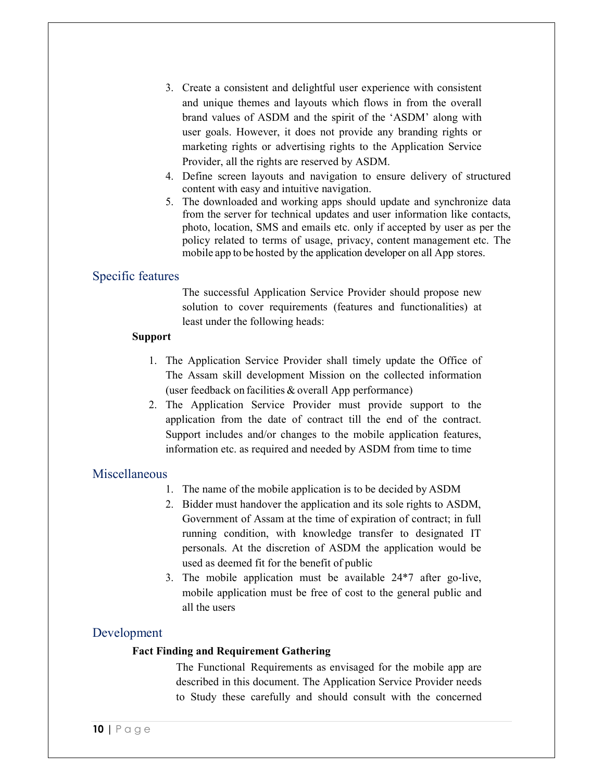- 3. Create a consistent and delightful user experience with consistent and unique themes and layouts which flows in from the overall brand values of ASDM and the spirit of the 'ASDM' along with user goals. However, it does not provide any branding rights or marketing rights or advertising rights to the Application Service Provider, all the rights are reserved by ASDM.
- 4. Define screen layouts and navigation to ensure delivery of structured content with easy and intuitive navigation.
- 5. The downloaded and working apps should update and synchronize data from the server for technical updates and user information like contacts, photo, location, SMS and emails etc. only if accepted by user as per the policy related to terms of usage, privacy, content management etc. The mobile app to be hosted by the application developer on all App stores.

## Specific features

The successful Application Service Provider should propose new solution to cover requirements (features and functionalities) at least under the following heads:

#### **Support**

- 1. The Application Service Provider shall timely update the Office of The Assam skill development Mission on the collected information (user feedback on facilities & overall App performance)
- 2. The Application Service Provider must provide support to the application from the date of contract till the end of the contract. Support includes and/or changes to the mobile application features, information etc. as required and needed by ASDM from time to time

## Miscellaneous

- 1. The name of the mobile application is to be decided by ASDM
- 2. Bidder must handover the application and its sole rights to ASDM, Government of Assam at the time of expiration of contract; in full running condition, with knowledge transfer to designated IT personals. At the discretion of ASDM the application would be used as deemed fit for the benefit of public
- 3. The mobile application must be available 24\*7 after go‐live, mobile application must be free of cost to the general public and all the users

## Development

#### **Fact Finding and Requirement Gathering**

The Functional Requirements as envisaged for the mobile app are described in this document. The Application Service Provider needs to Study these carefully and should consult with the concerned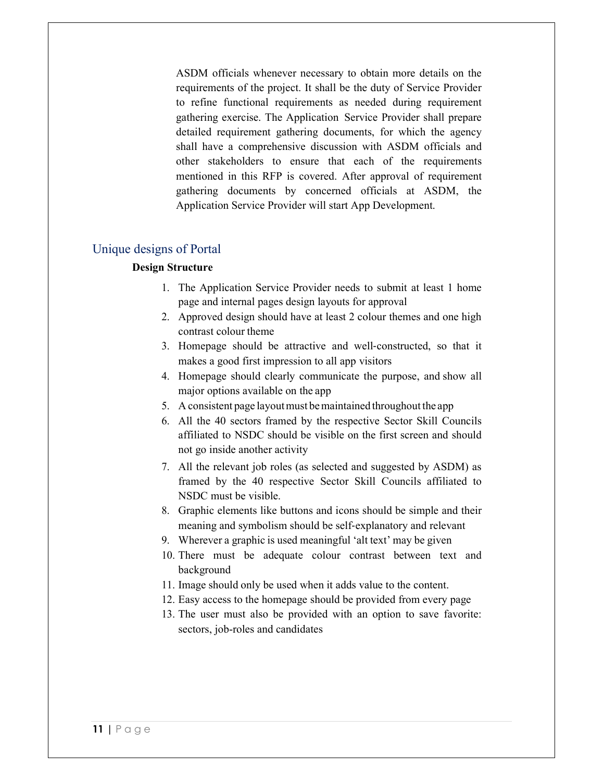ASDM officials whenever necessary to obtain more details on the requirements of the project. It shall be the duty of Service Provider to refine functional requirements as needed during requirement gathering exercise. The Application Service Provider shall prepare detailed requirement gathering documents, for which the agency shall have a comprehensive discussion with ASDM officials and other stakeholders to ensure that each of the requirements mentioned in this RFP is covered. After approval of requirement gathering documents by concerned officials at ASDM, the Application Service Provider will start App Development.

## Unique designs of Portal

#### **Design Structure**

- 1. The Application Service Provider needs to submit at least 1 home page and internal pages design layouts for approval
- 2. Approved design should have at least 2 colour themes and one high contrast colour theme
- 3. Homepage should be attractive and well‐constructed, so that it makes a good first impression to all app visitors
- 4. Homepage should clearly communicate the purpose, and show all major options available on the app
- 5. A consistent page layout must be maintained throughout the app
- 6. All the 40 sectors framed by the respective Sector Skill Councils affiliated to NSDC should be visible on the first screen and should not go inside another activity
- 7. All the relevant job roles (as selected and suggested by ASDM) as framed by the 40 respective Sector Skill Councils affiliated to NSDC must be visible.
- 8. Graphic elements like buttons and icons should be simple and their meaning and symbolism should be self‐explanatory and relevant
- 9. Wherever a graphic is used meaningful 'alt text' may be given
- 10. There must be adequate colour contrast between text and background
- 11. Image should only be used when it adds value to the content.
- 12. Easy access to the homepage should be provided from every page
- 13. The user must also be provided with an option to save favorite: sectors, job-roles and candidates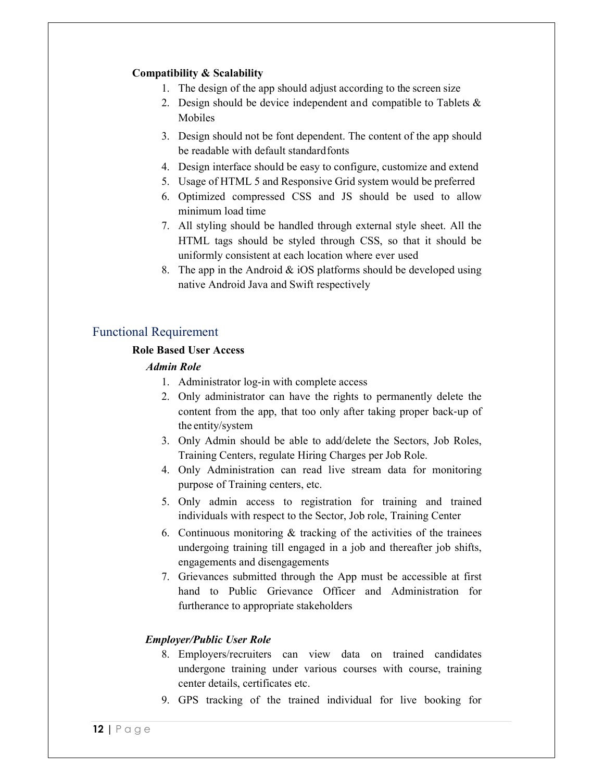### **Compatibility & Scalability**

- 1. The design of the app should adjust according to the screen size
- 2. Design should be device independent and compatible to Tablets  $\&$ Mobiles
- 3. Design should not be font dependent. The content of the app should be readable with default standard fonts
- 4. Design interface should be easy to configure, customize and extend
- 5. Usage of HTML 5 and Responsive Grid system would be preferred
- 6. Optimized compressed CSS and JS should be used to allow minimum load time
- 7. All styling should be handled through external style sheet. All the HTML tags should be styled through CSS, so that it should be uniformly consistent at each location where ever used
- 8. The app in the Android  $\&$  iOS platforms should be developed using native Android Java and Swift respectively

## Functional Requirement

#### **Role Based User Access**

#### *Admin Role*

- 1. Administrator log-in with complete access
- 2. Only administrator can have the rights to permanently delete the content from the app, that too only after taking proper back‐up of the entity/system
- 3. Only Admin should be able to add/delete the Sectors, Job Roles, Training Centers, regulate Hiring Charges per Job Role.
- 4. Only Administration can read live stream data for monitoring purpose of Training centers, etc.
- 5. Only admin access to registration for training and trained individuals with respect to the Sector, Job role, Training Center
- 6. Continuous monitoring  $\&$  tracking of the activities of the trainees undergoing training till engaged in a job and thereafter job shifts, engagements and disengagements
- 7. Grievances submitted through the App must be accessible at first hand to Public Grievance Officer and Administration for furtherance to appropriate stakeholders

#### *Employer/Public User Role*

- 8. Employers/recruiters can view data on trained candidates undergone training under various courses with course, training center details, certificates etc.
- 9. GPS tracking of the trained individual for live booking for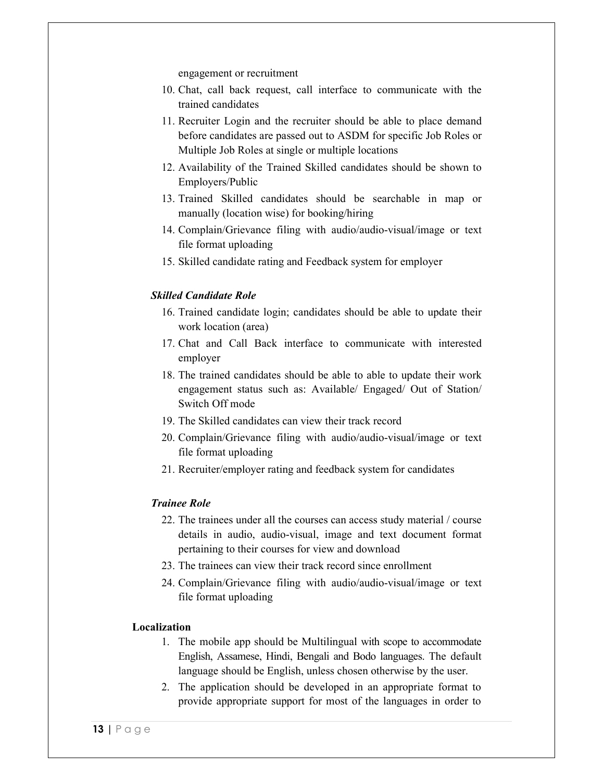engagement or recruitment

- 10. Chat, call back request, call interface to communicate with the trained candidates
- 11. Recruiter Login and the recruiter should be able to place demand before candidates are passed out to ASDM for specific Job Roles or Multiple Job Roles at single or multiple locations
- 12. Availability of the Trained Skilled candidates should be shown to Employers/Public
- 13. Trained Skilled candidates should be searchable in map or manually (location wise) for booking/hiring
- 14. Complain/Grievance filing with audio/audio-visual/image or text file format uploading
- 15. Skilled candidate rating and Feedback system for employer

#### *Skilled Candidate Role*

- 16. Trained candidate login; candidates should be able to update their work location (area)
- 17. Chat and Call Back interface to communicate with interested employer
- 18. The trained candidates should be able to able to update their work engagement status such as: Available/ Engaged/ Out of Station/ Switch Off mode
- 19. The Skilled candidates can view their track record
- 20. Complain/Grievance filing with audio/audio-visual/image or text file format uploading
- 21. Recruiter/employer rating and feedback system for candidates

#### *Trainee Role*

- 22. The trainees under all the courses can access study material / course details in audio, audio-visual, image and text document format pertaining to their courses for view and download
- 23. The trainees can view their track record since enrollment
- 24. Complain/Grievance filing with audio/audio-visual/image or text file format uploading

#### **Localization**

- 1. The mobile app should be Multilingual with scope to accommodate English, Assamese, Hindi, Bengali and Bodo languages. The default language should be English, unless chosen otherwise by the user.
- 2. The application should be developed in an appropriate format to provide appropriate support for most of the languages in order to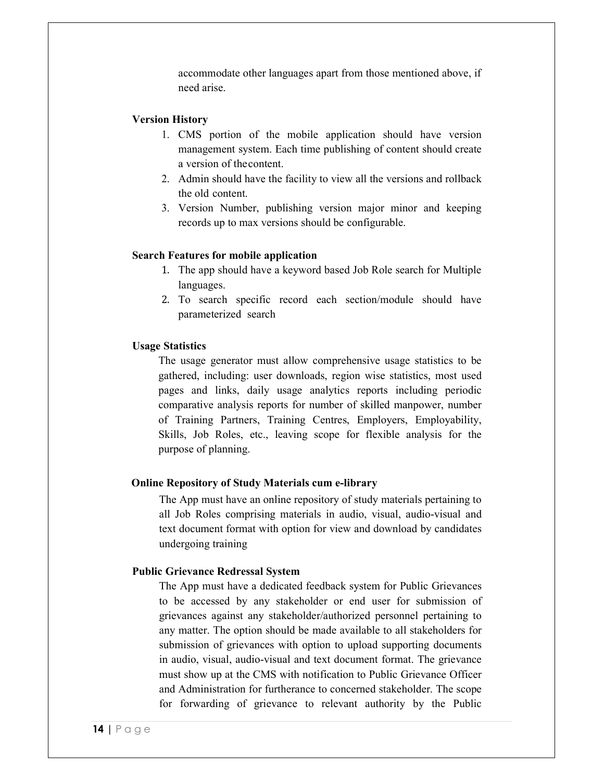accommodate other languages apart from those mentioned above, if need arise.

#### **Version History**

- 1. CMS portion of the mobile application should have version management system. Each time publishing of content should create a version of the content.
- 2. Admin should have the facility to view all the versions and rollback the old content.
- 3. Version Number, publishing version major minor and keeping records up to max versions should be configurable.

#### **Search Features for mobile application**

- 1. The app should have a keyword based Job Role search for Multiple languages.
- 2. To search specific record each section/module should have parameterized search

#### **Usage Statistics**

The usage generator must allow comprehensive usage statistics to be gathered, including: user downloads, region wise statistics, most used pages and links, daily usage analytics reports including periodic comparative analysis reports for number of skilled manpower, number of Training Partners, Training Centres, Employers, Employability, Skills, Job Roles, etc., leaving scope for flexible analysis for the purpose of planning.

#### **Online Repository of Study Materials cum e-library**

The App must have an online repository of study materials pertaining to all Job Roles comprising materials in audio, visual, audio-visual and text document format with option for view and download by candidates undergoing training

#### **Public Grievance Redressal System**

The App must have a dedicated feedback system for Public Grievances to be accessed by any stakeholder or end user for submission of grievances against any stakeholder/authorized personnel pertaining to any matter. The option should be made available to all stakeholders for submission of grievances with option to upload supporting documents in audio, visual, audio-visual and text document format. The grievance must show up at the CMS with notification to Public Grievance Officer and Administration for furtherance to concerned stakeholder. The scope for forwarding of grievance to relevant authority by the Public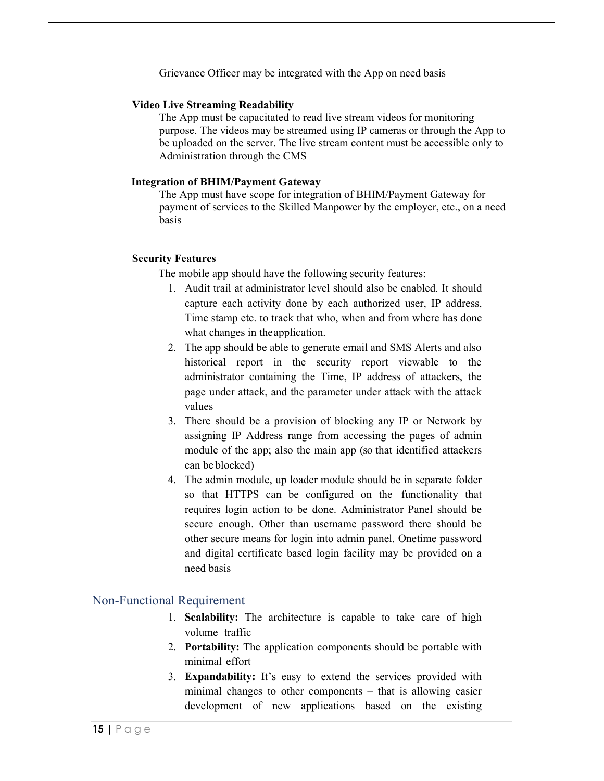Grievance Officer may be integrated with the App on need basis

#### **Video Live Streaming Readability**

The App must be capacitated to read live stream videos for monitoring purpose. The videos may be streamed using IP cameras or through the App to be uploaded on the server. The live stream content must be accessible only to Administration through the CMS

#### **Integration of BHIM/Payment Gateway**

The App must have scope for integration of BHIM/Payment Gateway for payment of services to the Skilled Manpower by the employer, etc., on a need basis

#### **Security Features**

The mobile app should have the following security features:

- 1. Audit trail at administrator level should also be enabled. It should capture each activity done by each authorized user, IP address, Time stamp etc. to track that who, when and from where has done what changes in the application.
- 2. The app should be able to generate email and SMS Alerts and also historical report in the security report viewable to the administrator containing the Time, IP address of attackers, the page under attack, and the parameter under attack with the attack values
- 3. There should be a provision of blocking any IP or Network by assigning IP Address range from accessing the pages of admin module of the app; also the main app (so that identified attackers can be blocked)
- 4. The admin module, up loader module should be in separate folder so that HTTPS can be configured on the functionality that requires login action to be done. Administrator Panel should be secure enough. Other than username password there should be other secure means for login into admin panel. Onetime password and digital certificate based login facility may be provided on a need basis

#### Non-Functional Requirement

- 1. **Scalability:** The architecture is capable to take care of high volume traffic
- 2. **Portability:** The application components should be portable with minimal effort
- 3. **Expandability:** It's easy to extend the services provided with minimal changes to other components – that is allowing easier development of new applications based on the existing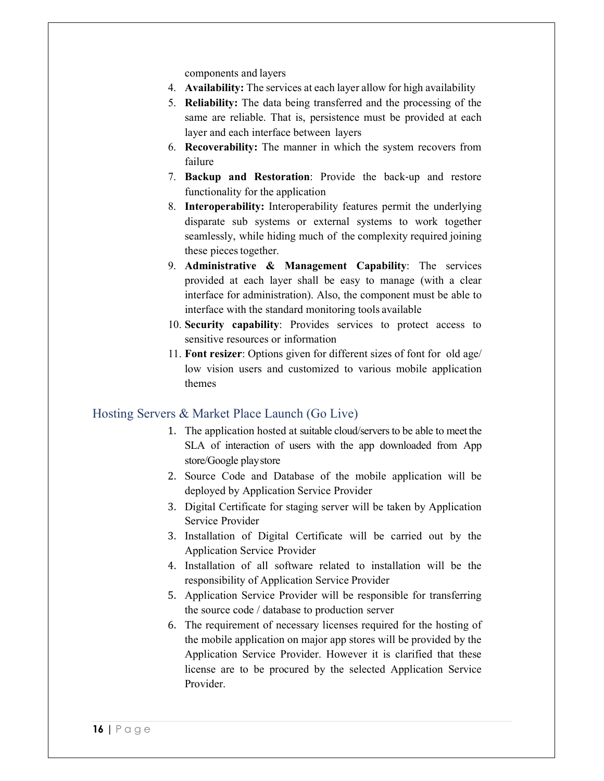components and layers

- 4. **Availability:** The services at each layer allow for high availability
- 5. **Reliability:** The data being transferred and the processing of the same are reliable. That is, persistence must be provided at each layer and each interface between layers
- 6. **Recoverability:** The manner in which the system recovers from failure
- 7. **Backup and Restoration**: Provide the back‐up and restore functionality for the application
- 8. **Interoperability:** Interoperability features permit the underlying disparate sub systems or external systems to work together seamlessly, while hiding much of the complexity required joining these pieces together.
- 9. **Administrative & Management Capability**: The services provided at each layer shall be easy to manage (with a clear interface for administration). Also, the component must be able to interface with the standard monitoring tools available
- 10. **Security capability**: Provides services to protect access to sensitive resources or information
- 11. **Font resizer**: Options given for different sizes of font for old age/ low vision users and customized to various mobile application themes

## Hosting Servers & Market Place Launch (Go Live)

- 1. The application hosted at suitable cloud/servers to be able to meet the SLA of interaction of users with the app downloaded from App store/Google play store
- 2. Source Code and Database of the mobile application will be deployed by Application Service Provider
- 3. Digital Certificate for staging server will be taken by Application Service Provider
- 3. Installation of Digital Certificate will be carried out by the Application Service Provider
- 4. Installation of all software related to installation will be the responsibility of Application Service Provider
- 5. Application Service Provider will be responsible for transferring the source code / database to production server
- 6. The requirement of necessary licenses required for the hosting of the mobile application on major app stores will be provided by the Application Service Provider. However it is clarified that these license are to be procured by the selected Application Service Provider.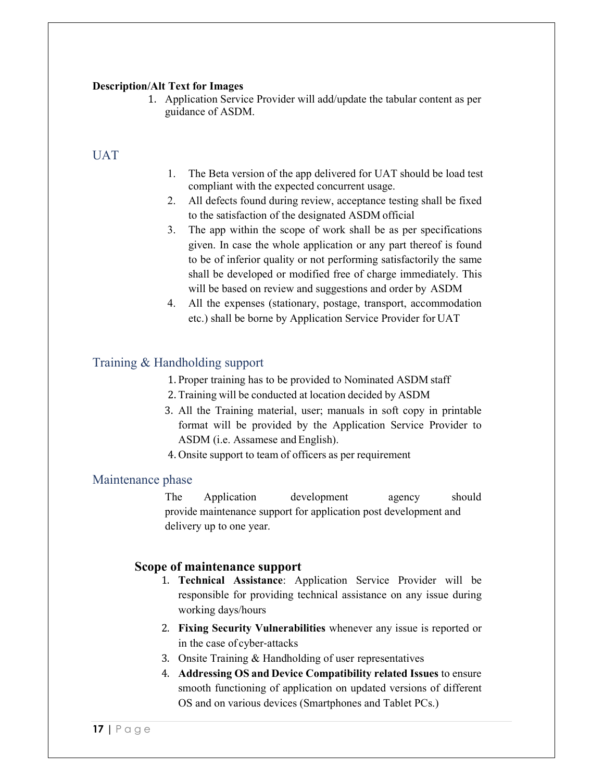#### **Description/Alt Text for Images**

1. Application Service Provider will add/update the tabular content as per guidance of ASDM.

## UAT

- 1. The Beta version of the app delivered for UAT should be load test compliant with the expected concurrent usage.
- 2. All defects found during review, acceptance testing shall be fixed to the satisfaction of the designated ASDM official
- 3. The app within the scope of work shall be as per specifications given. In case the whole application or any part thereof is found to be of inferior quality or not performing satisfactorily the same shall be developed or modified free of charge immediately. This will be based on review and suggestions and order by ASDM
- 4. All the expenses (stationary, postage, transport, accommodation etc.) shall be borne by Application Service Provider for UAT

## Training & Handholding support

- 1. Proper training has to be provided to Nominated ASDM staff
- 2. Training will be conducted at location decided by ASDM
- 3. All the Training material, user; manuals in soft copy in printable format will be provided by the Application Service Provider to ASDM (i.e. Assamese and English).
- 4. Onsite support to team of officers as per requirement

#### Maintenance phase

The Application development agency should provide maintenance support for application post development and delivery up to one year.

## **Scope of maintenance support**

- 1. **Technical Assistance**: Application Service Provider will be responsible for providing technical assistance on any issue during working days/hours
- 2. **Fixing Security Vulnerabilities** whenever any issue is reported or in the case of cyber‐attacks
- 3. Onsite Training & Handholding of user representatives
- 4. **Addressing OS and Device Compatibility related Issues** to ensure smooth functioning of application on updated versions of different OS and on various devices (Smartphones and Tablet PCs.)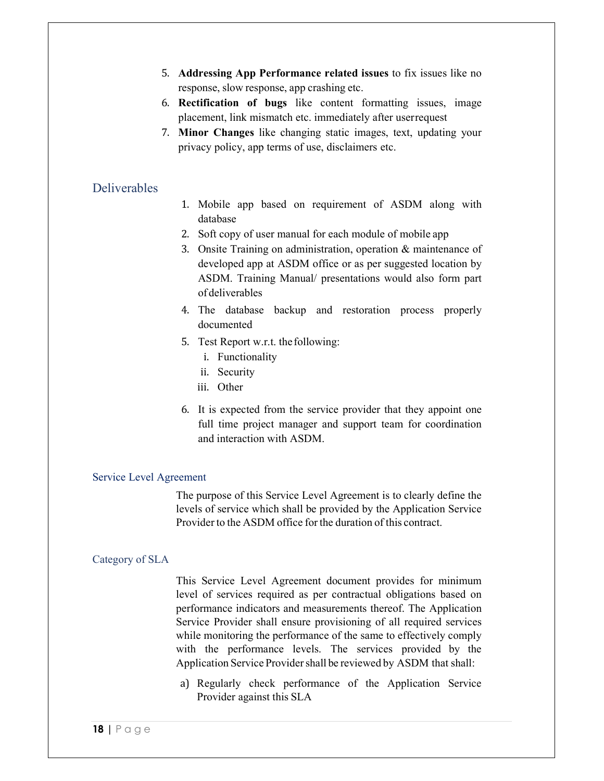- 5. **Addressing App Performance related issues** to fix issues like no response, slow response, app crashing etc.
- 6. **Rectification of bugs** like content formatting issues, image placement, link mismatch etc. immediately after user request
- 7. **Minor Changes** like changing static images, text, updating your privacy policy, app terms of use, disclaimers etc.

## **Deliverables**

- 1. Mobile app based on requirement of ASDM along with database
- 2. Soft copy of user manual for each module of mobile app
- 3. Onsite Training on administration, operation & maintenance of developed app at ASDM office or as per suggested location by ASDM. Training Manual/ presentations would also form part of deliverables
- 4. The database backup and restoration process properly documented
- 5. Test Report w.r.t. the following:
	- i. Functionality
	- ii. Security
	- iii. Other
- 6. It is expected from the service provider that they appoint one full time project manager and support team for coordination and interaction with ASDM.

#### Service Level Agreement

The purpose of this Service Level Agreement is to clearly define the levels of service which shall be provided by the Application Service Provider to the ASDM office for the duration of this contract.

#### Category of SLA

This Service Level Agreement document provides for minimum level of services required as per contractual obligations based on performance indicators and measurements thereof. The Application Service Provider shall ensure provisioning of all required services while monitoring the performance of the same to effectively comply with the performance levels. The services provided by the Application Service Provider shall be reviewed by ASDM that shall:

a) Regularly check performance of the Application Service Provider against this SLA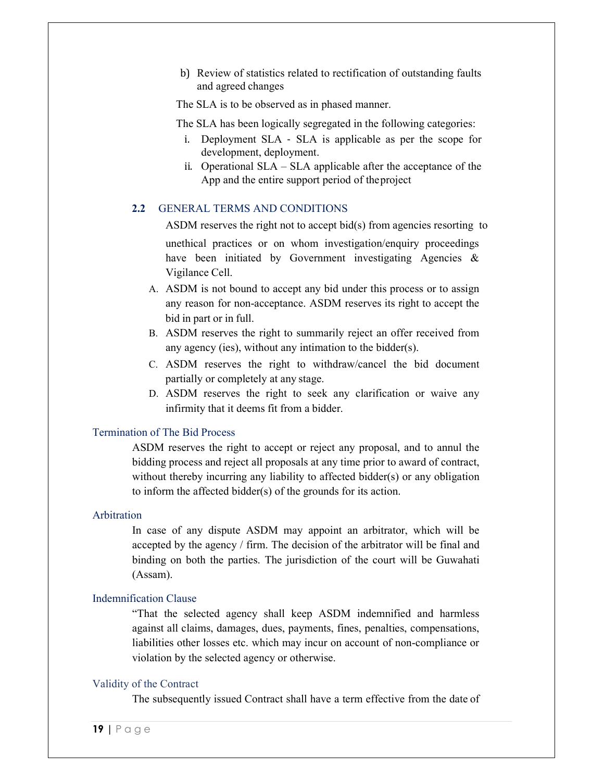b) Review of statistics related to rectification of outstanding faults and agreed changes

The SLA is to be observed as in phased manner.

The SLA has been logically segregated in the following categories:

- i. Deployment SLA ‐ SLA is applicable as per the scope for development, deployment.
- ii. Operational SLA SLA applicable after the acceptance of the App and the entire support period of the project

#### **2.2** GENERAL TERMS AND CONDITIONS

ASDM reserves the right not to accept bid(s) from agencies resorting to

unethical practices or on whom investigation/enquiry proceedings have been initiated by Government investigating Agencies & Vigilance Cell.

- A. ASDM is not bound to accept any bid under this process or to assign any reason for non-acceptance. ASDM reserves its right to accept the bid in part or in full.
- B. ASDM reserves the right to summarily reject an offer received from any agency (ies), without any intimation to the bidder(s).
- C. ASDM reserves the right to withdraw/cancel the bid document partially or completely at any stage.
- D. ASDM reserves the right to seek any clarification or waive any infirmity that it deems fit from a bidder.

#### Termination of The Bid Process

ASDM reserves the right to accept or reject any proposal, and to annul the bidding process and reject all proposals at any time prior to award of contract, without thereby incurring any liability to affected bidder(s) or any obligation to inform the affected bidder(s) of the grounds for its action.

#### Arbitration

In case of any dispute ASDM may appoint an arbitrator, which will be accepted by the agency / firm. The decision of the arbitrator will be final and binding on both the parties. The jurisdiction of the court will be Guwahati (Assam).

#### Indemnification Clause

"That the selected agency shall keep ASDM indemnified and harmless against all claims, damages, dues, payments, fines, penalties, compensations, liabilities other losses etc. which may incur on account of non-compliance or violation by the selected agency or otherwise.

#### Validity of the Contract

The subsequently issued Contract shall have a term effective from the date of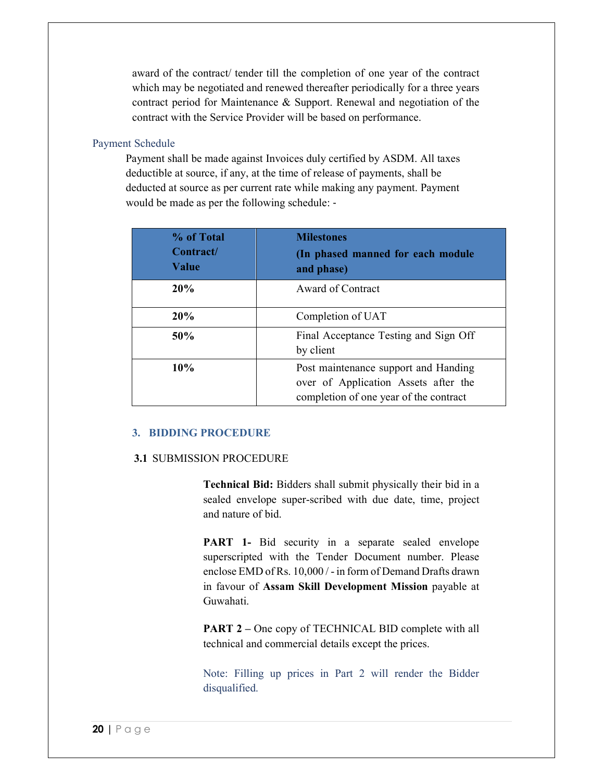award of the contract/ tender till the completion of one year of the contract which may be negotiated and renewed thereafter periodically for a three years contract period for Maintenance & Support. Renewal and negotiation of the contract with the Service Provider will be based on performance.

#### Payment Schedule

Payment shall be made against Invoices duly certified by ASDM. All taxes deductible at source, if any, at the time of release of payments, shall be deducted at source as per current rate while making any payment. Payment would be made as per the following schedule: ‐

| % of Total<br>Contract/<br>Value | <b>Milestones</b><br>(In phased manned for each module<br>and phase)                                                   |
|----------------------------------|------------------------------------------------------------------------------------------------------------------------|
| 20%                              | Award of Contract                                                                                                      |
| 20%                              | Completion of UAT                                                                                                      |
| 50%                              | Final Acceptance Testing and Sign Off<br>by client                                                                     |
| 10%                              | Post maintenance support and Handing<br>over of Application Assets after the<br>completion of one year of the contract |

#### **3. BIDDING PROCEDURE**

#### **3.1** SUBMISSION PROCEDURE

**Technical Bid:** Bidders shall submit physically their bid in a sealed envelope super-scribed with due date, time, project and nature of bid.

**PART** 1- Bid security in a separate sealed envelope superscripted with the Tender Document number. Please enclose EMD of Rs. 10,000 / - in form of Demand Drafts drawn in favour of **Assam Skill Development Mission** payable at Guwahati.

**PART 2** – One copy of TECHNICAL BID complete with all technical and commercial details except the prices.

Note: Filling up prices in Part 2 will render the Bidder disqualified.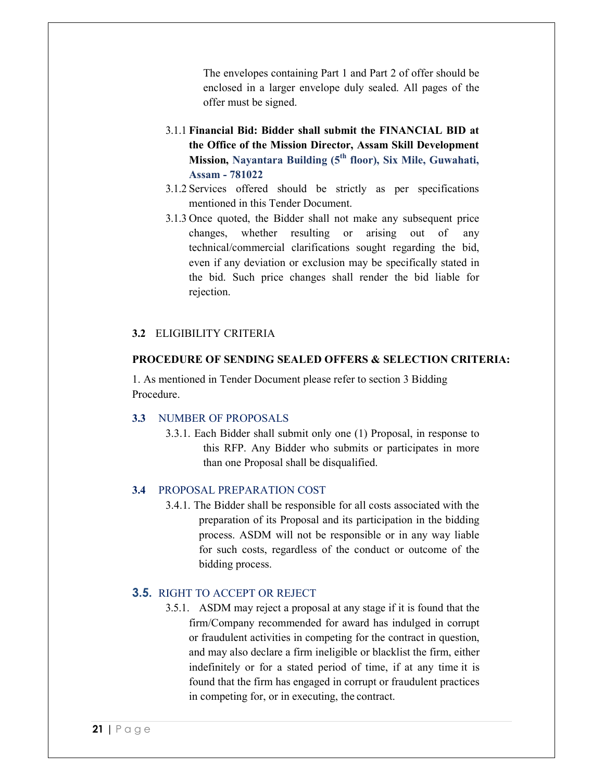The envelopes containing Part 1 and Part 2 of offer should be enclosed in a larger envelope duly sealed. All pages of the offer must be signed.

- 3.1.1 **Financial Bid: Bidder shall submit the FINANCIAL BID at the Office of the Mission Director, Assam Skill Development Mission, Nayantara Building (5th floor), Six Mile, Guwahati, Assam - 781022**
- 3.1.2 Services offered should be strictly as per specifications mentioned in this Tender Document.
- 3.1.3 Once quoted, the Bidder shall not make any subsequent price changes, whether resulting or arising out of any technical/commercial clarifications sought regarding the bid, even if any deviation or exclusion may be specifically stated in the bid. Such price changes shall render the bid liable for rejection.

## **3.2** ELIGIBILITY CRITERIA

#### **PROCEDURE OF SENDING SEALED OFFERS & SELECTION CRITERIA:**

1. As mentioned in Tender Document please refer to section 3 Bidding Procedure.

#### **3.3** NUMBER OF PROPOSALS

3.3.1. Each Bidder shall submit only one (1) Proposal, in response to this RFP. Any Bidder who submits or participates in more than one Proposal shall be disqualified.

## **3.4** PROPOSAL PREPARATION COST

3.4.1. The Bidder shall be responsible for all costs associated with the preparation of its Proposal and its participation in the bidding process. ASDM will not be responsible or in any way liable for such costs, regardless of the conduct or outcome of the bidding process.

## **3.5.** RIGHT TO ACCEPT OR REJECT

3.5.1. ASDM may reject a proposal at any stage if it is found that the firm/Company recommended for award has indulged in corrupt or fraudulent activities in competing for the contract in question, and may also declare a firm ineligible or blacklist the firm, either indefinitely or for a stated period of time, if at any time it is found that the firm has engaged in corrupt or fraudulent practices in competing for, or in executing, the contract.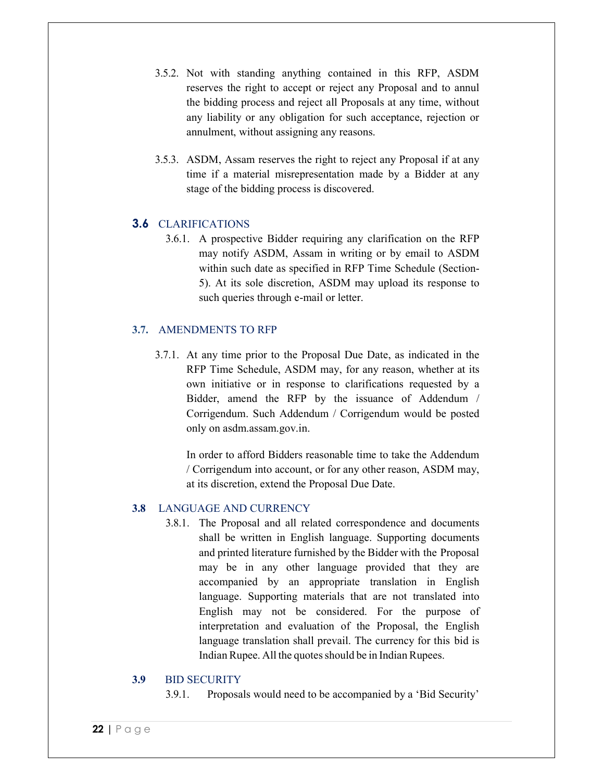- 3.5.2. Not with standing anything contained in this RFP, ASDM reserves the right to accept or reject any Proposal and to annul the bidding process and reject all Proposals at any time, without any liability or any obligation for such acceptance, rejection or annulment, without assigning any reasons.
- 3.5.3. ASDM, Assam reserves the right to reject any Proposal if at any time if a material misrepresentation made by a Bidder at any stage of the bidding process is discovered.

## **3.6** CLARIFICATIONS

3.6.1. A prospective Bidder requiring any clarification on the RFP may notify ASDM, Assam in writing or by email to ASDM within such date as specified in RFP Time Schedule (Section-5). At its sole discretion, ASDM may upload its response to such queries through e-mail or letter.

## **3.7.** AMENDMENTS TO RFP

3.7.1. At any time prior to the Proposal Due Date, as indicated in the RFP Time Schedule, ASDM may, for any reason, whether at its own initiative or in response to clarifications requested by a Bidder, amend the RFP by the issuance of Addendum / Corrigendum. Such Addendum / Corrigendum would be posted only on asdm.assam.gov.in.

In order to afford Bidders reasonable time to take the Addendum / Corrigendum into account, or for any other reason, ASDM may, at its discretion, extend the Proposal Due Date.

## **3.8** LANGUAGE AND CURRENCY

3.8.1. The Proposal and all related correspondence and documents shall be written in English language. Supporting documents and printed literature furnished by the Bidder with the Proposal may be in any other language provided that they are accompanied by an appropriate translation in English language. Supporting materials that are not translated into English may not be considered. For the purpose of interpretation and evaluation of the Proposal, the English language translation shall prevail. The currency for this bid is Indian Rupee. All the quotes should be in Indian Rupees.

#### **3.9** BID SECURITY

3.9.1. Proposals would need to be accompanied by a 'Bid Security'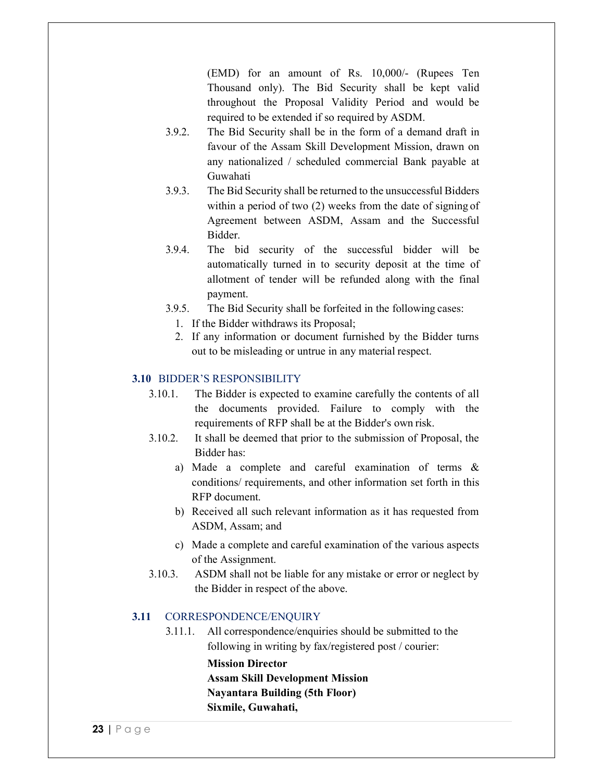(EMD) for an amount of Rs. 10,000/- (Rupees Ten Thousand only). The Bid Security shall be kept valid throughout the Proposal Validity Period and would be required to be extended if so required by ASDM.

- 3.9.2. The Bid Security shall be in the form of a demand draft in favour of the Assam Skill Development Mission, drawn on any nationalized / scheduled commercial Bank payable at Guwahati
- 3.9.3. The Bid Security shall be returned to the unsuccessful Bidders within a period of two (2) weeks from the date of signing of Agreement between ASDM, Assam and the Successful Bidder.
- 3.9.4. The bid security of the successful bidder will be automatically turned in to security deposit at the time of allotment of tender will be refunded along with the final payment.
- 3.9.5. The Bid Security shall be forfeited in the following cases:
	- 1. If the Bidder withdraws its Proposal;
	- 2. If any information or document furnished by the Bidder turns out to be misleading or untrue in any material respect.

#### **3.10** BIDDER'S RESPONSIBILITY

- 3.10.1. The Bidder is expected to examine carefully the contents of all the documents provided. Failure to comply with the requirements of RFP shall be at the Bidder's own risk.
- 3.10.2. It shall be deemed that prior to the submission of Proposal, the Bidder has:
	- a) Made a complete and careful examination of terms & conditions/ requirements, and other information set forth in this RFP document.
	- b) Received all such relevant information as it has requested from ASDM, Assam; and
	- c) Made a complete and careful examination of the various aspects of the Assignment.
- 3.10.3. ASDM shall not be liable for any mistake or error or neglect by the Bidder in respect of the above.

#### **3.11** CORRESPONDENCE/ENQUIRY

3.11.1. All correspondence/enquiries should be submitted to the following in writing by fax/registered post / courier:

#### **Mission Director**

**Assam Skill Development Mission Nayantara Building (5th Floor)**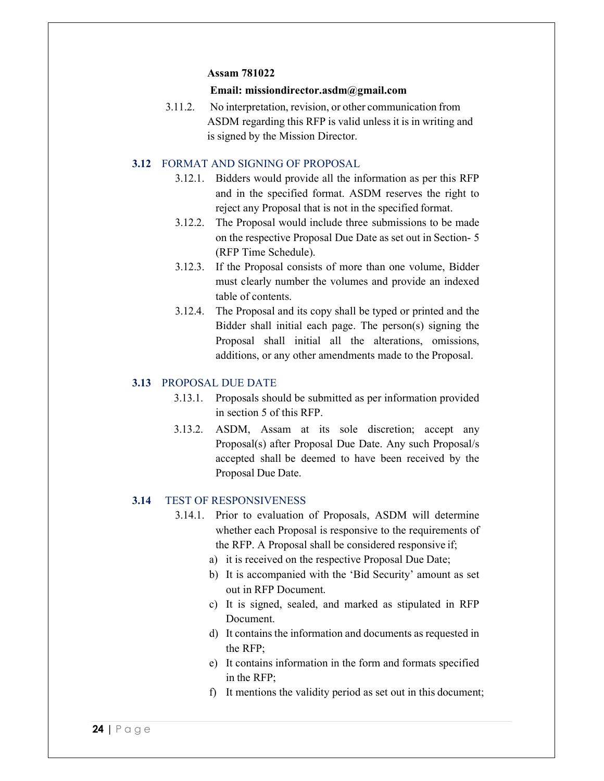#### **Assam 781022**

#### **Email: missiondirector.asdm@gmail.com**

3.11.2. No interpretation, revision, or other communication from ASDM regarding this RFP is valid unless it is in writing and is signed by the Mission Director.

#### **3.12** FORMAT AND SIGNING OF PROPOSAL

- 3.12.1. Bidders would provide all the information as per this RFP and in the specified format. ASDM reserves the right to reject any Proposal that is not in the specified format.
- 3.12.2. The Proposal would include three submissions to be made on the respective Proposal Due Date as set out in Section- 5 (RFP Time Schedule).
- 3.12.3. If the Proposal consists of more than one volume, Bidder must clearly number the volumes and provide an indexed table of contents.
- 3.12.4. The Proposal and its copy shall be typed or printed and the Bidder shall initial each page. The person(s) signing the Proposal shall initial all the alterations, omissions, additions, or any other amendments made to the Proposal.

#### **3.13** PROPOSAL DUE DATE

- 3.13.1. Proposals should be submitted as per information provided in section 5 of this RFP.
- 3.13.2. ASDM, Assam at its sole discretion; accept any Proposal(s) after Proposal Due Date. Any such Proposal/s accepted shall be deemed to have been received by the Proposal Due Date.

#### **3.14** TEST OF RESPONSIVENESS

- 3.14.1. Prior to evaluation of Proposals, ASDM will determine whether each Proposal is responsive to the requirements of the RFP. A Proposal shall be considered responsive if;
	- a) it is received on the respective Proposal Due Date;
	- b) It is accompanied with the 'Bid Security' amount as set out in RFP Document.
	- c) It is signed, sealed, and marked as stipulated in RFP Document.
	- d) It contains the information and documents as requested in the RFP;
	- e) It contains information in the form and formats specified in the RFP;
	- f) It mentions the validity period as set out in this document;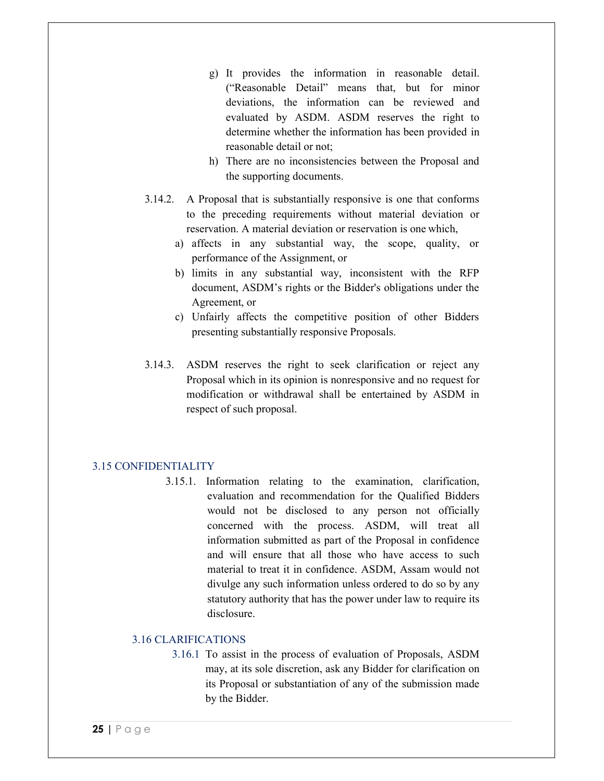- g) It provides the information in reasonable detail. ("Reasonable Detail" means that, but for minor deviations, the information can be reviewed and evaluated by ASDM. ASDM reserves the right to determine whether the information has been provided in reasonable detail or not;
- h) There are no inconsistencies between the Proposal and the supporting documents.
- 3.14.2. A Proposal that is substantially responsive is one that conforms to the preceding requirements without material deviation or reservation. A material deviation or reservation is one which,
	- a) affects in any substantial way, the scope, quality, or performance of the Assignment, or
	- b) limits in any substantial way, inconsistent with the RFP document, ASDM's rights or the Bidder's obligations under the Agreement, or
	- c) Unfairly affects the competitive position of other Bidders presenting substantially responsive Proposals.
- 3.14.3. ASDM reserves the right to seek clarification or reject any Proposal which in its opinion is nonresponsive and no request for modification or withdrawal shall be entertained by ASDM in respect of such proposal.

#### 3.15 CONFIDENTIALITY

3.15.1. Information relating to the examination, clarification, evaluation and recommendation for the Qualified Bidders would not be disclosed to any person not officially concerned with the process. ASDM, will treat all information submitted as part of the Proposal in confidence and will ensure that all those who have access to such material to treat it in confidence. ASDM, Assam would not divulge any such information unless ordered to do so by any statutory authority that has the power under law to require its disclosure.

#### 3.16 CLARIFICATIONS

3.16.1 To assist in the process of evaluation of Proposals, ASDM may, at its sole discretion, ask any Bidder for clarification on its Proposal or substantiation of any of the submission made by the Bidder.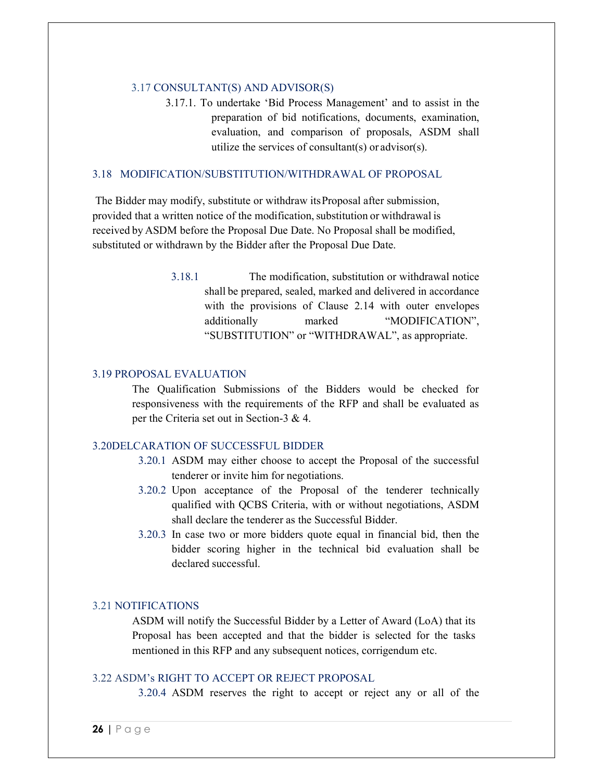#### 3.17 CONSULTANT(S) AND ADVISOR(S)

3.17.1. To undertake 'Bid Process Management' and to assist in the preparation of bid notifications, documents, examination, evaluation, and comparison of proposals, ASDM shall utilize the services of consultant(s) or advisor(s).

#### 3.18 MODIFICATION/SUBSTITUTION/WITHDRAWAL OF PROPOSAL

 The Bidder may modify, substitute or withdraw its Proposal after submission, provided that a written notice of the modification, substitution or withdrawal is received by ASDM before the Proposal Due Date. No Proposal shall be modified, substituted or withdrawn by the Bidder after the Proposal Due Date.

> 3.18.1 The modification, substitution or withdrawal notice shall be prepared, sealed, marked and delivered in accordance with the provisions of Clause 2.14 with outer envelopes additionally marked "MODIFICATION", "SUBSTITUTION" or "WITHDRAWAL", as appropriate.

#### 3.19 PROPOSAL EVALUATION

The Qualification Submissions of the Bidders would be checked for responsiveness with the requirements of the RFP and shall be evaluated as per the Criteria set out in Section-3 & 4.

#### 3.20DELCARATION OF SUCCESSFUL BIDDER

- 3.20.1 ASDM may either choose to accept the Proposal of the successful tenderer or invite him for negotiations.
- 3.20.2 Upon acceptance of the Proposal of the tenderer technically qualified with QCBS Criteria, with or without negotiations, ASDM shall declare the tenderer as the Successful Bidder.
- 3.20.3 In case two or more bidders quote equal in financial bid, then the bidder scoring higher in the technical bid evaluation shall be declared successful.

#### 3.21 NOTIFICATIONS

ASDM will notify the Successful Bidder by a Letter of Award (LoA) that its Proposal has been accepted and that the bidder is selected for the tasks mentioned in this RFP and any subsequent notices, corrigendum etc.

#### 3.22 ASDM's RIGHT TO ACCEPT OR REJECT PROPOSAL

3.20.4 ASDM reserves the right to accept or reject any or all of the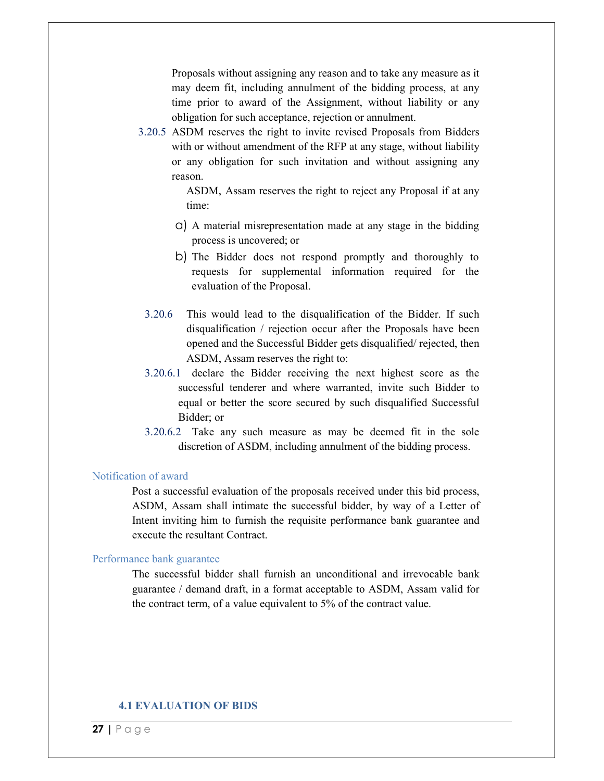Proposals without assigning any reason and to take any measure as it may deem fit, including annulment of the bidding process, at any time prior to award of the Assignment, without liability or any obligation for such acceptance, rejection or annulment.

3.20.5 ASDM reserves the right to invite revised Proposals from Bidders with or without amendment of the RFP at any stage, without liability or any obligation for such invitation and without assigning any reason.

> ASDM, Assam reserves the right to reject any Proposal if at any time:

- a) A material misrepresentation made at any stage in the bidding process is uncovered; or
- b) The Bidder does not respond promptly and thoroughly to requests for supplemental information required for the evaluation of the Proposal.
- 3.20.6 This would lead to the disqualification of the Bidder. If such disqualification / rejection occur after the Proposals have been opened and the Successful Bidder gets disqualified/ rejected, then ASDM, Assam reserves the right to:
- 3.20.6.1 declare the Bidder receiving the next highest score as the successful tenderer and where warranted, invite such Bidder to equal or better the score secured by such disqualified Successful Bidder; or
- 3.20.6.2 Take any such measure as may be deemed fit in the sole discretion of ASDM, including annulment of the bidding process.

#### Notification of award

Post a successful evaluation of the proposals received under this bid process, ASDM, Assam shall intimate the successful bidder, by way of a Letter of Intent inviting him to furnish the requisite performance bank guarantee and execute the resultant Contract.

#### Performance bank guarantee

The successful bidder shall furnish an unconditional and irrevocable bank guarantee / demand draft, in a format acceptable to ASDM, Assam valid for the contract term, of a value equivalent to 5% of the contract value.

#### **4.1 EVALUATION OF BIDS**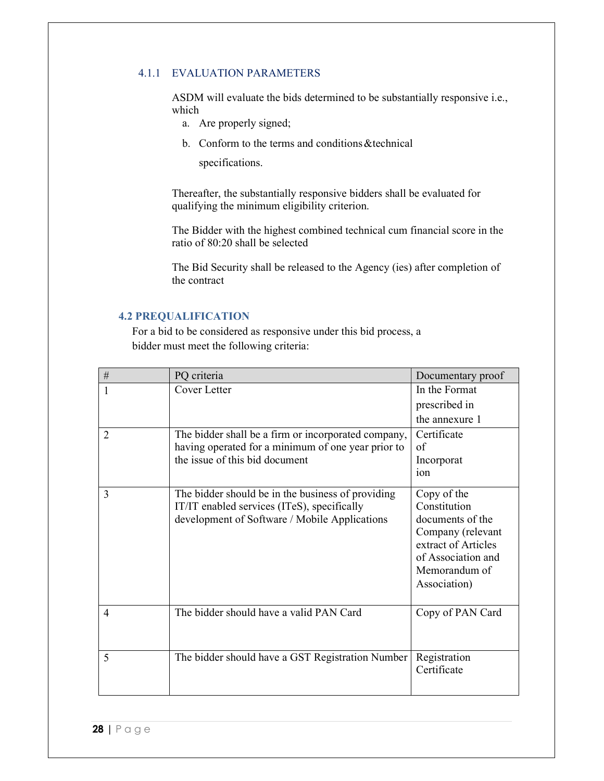## 4.1.1 EVALUATION PARAMETERS

ASDM will evaluate the bids determined to be substantially responsive i.e., which

- a. Are properly signed;
- b. Conform to the terms and conditions &technical

specifications.

Thereafter, the substantially responsive bidders shall be evaluated for qualifying the minimum eligibility criterion.

The Bidder with the highest combined technical cum financial score in the ratio of 80:20 shall be selected

The Bid Security shall be released to the Agency (ies) after completion of the contract

#### **4.2 PREQUALIFICATION**

For a bid to be considered as responsive under this bid process, a bidder must meet the following criteria:

| $\#$           | PQ criteria                                                                                                                                       | Documentary proof                                                                                                                                  |
|----------------|---------------------------------------------------------------------------------------------------------------------------------------------------|----------------------------------------------------------------------------------------------------------------------------------------------------|
|                | Cover Letter                                                                                                                                      | In the Format                                                                                                                                      |
|                |                                                                                                                                                   | prescribed in                                                                                                                                      |
|                |                                                                                                                                                   | the annexure 1                                                                                                                                     |
| $\overline{2}$ | The bidder shall be a firm or incorporated company,<br>having operated for a minimum of one year prior to<br>the issue of this bid document       | Certificate<br>of<br>Incorporat<br>ion                                                                                                             |
| 3              | The bidder should be in the business of providing<br>IT/IT enabled services (ITeS), specifically<br>development of Software / Mobile Applications | Copy of the<br>Constitution<br>documents of the<br>Company (relevant<br>extract of Articles<br>of Association and<br>Memorandum of<br>Association) |
| 4              | The bidder should have a valid PAN Card                                                                                                           | Copy of PAN Card                                                                                                                                   |
| 5              | The bidder should have a GST Registration Number                                                                                                  | Registration<br>Certificate                                                                                                                        |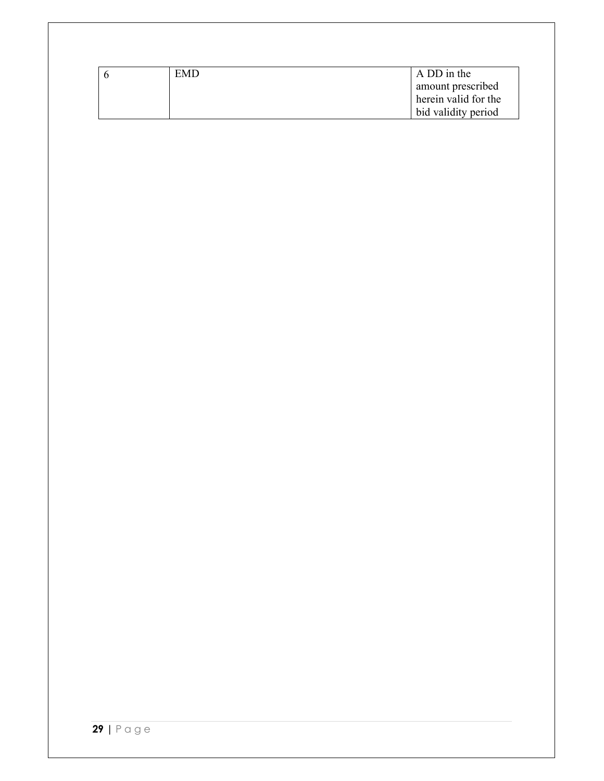| <b>EMD</b> | A DD in the          |
|------------|----------------------|
|            | amount prescribed    |
|            | herein valid for the |
|            | bid validity period  |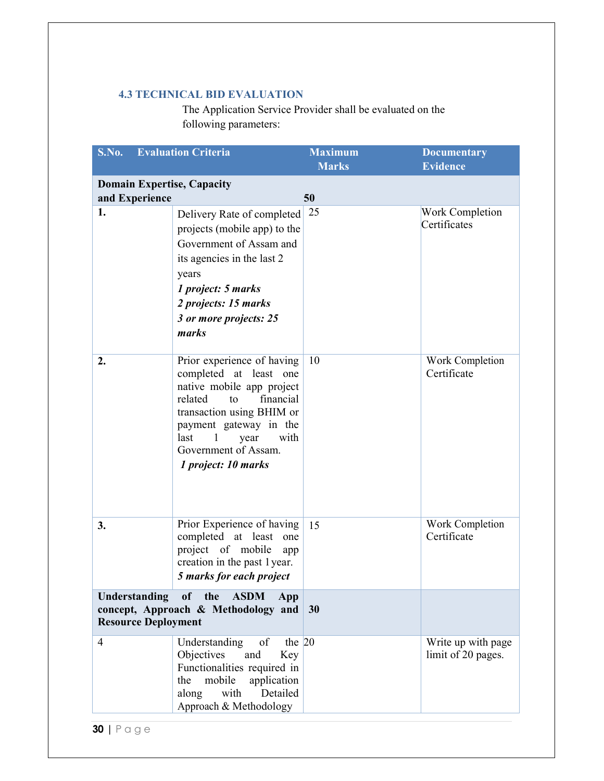## **4.3 TECHNICAL BID EVALUATION**

The Application Service Provider shall be evaluated on the following parameters:

| S.No.                                       | <b>Evaluation Criteria</b>                                                                                                                                                                                                                                    | <b>Maximum</b><br><b>Marks</b> | <b>Documentary</b><br><b>Evidence</b>    |
|---------------------------------------------|---------------------------------------------------------------------------------------------------------------------------------------------------------------------------------------------------------------------------------------------------------------|--------------------------------|------------------------------------------|
| and Experience                              | <b>Domain Expertise, Capacity</b>                                                                                                                                                                                                                             | 50                             |                                          |
| 1.                                          | Delivery Rate of completed<br>projects (mobile app) to the<br>Government of Assam and<br>its agencies in the last 2<br>years<br>1 project: 5 marks<br>2 projects: 15 marks<br>3 or more projects: 25<br>marks                                                 | 25                             | <b>Work Completion</b><br>Certificates   |
| 2.                                          | Prior experience of having<br>completed at least one<br>native mobile app project<br>related<br>financial<br>to<br>transaction using BHIM or<br>payment gateway in the<br>last<br>$\mathbf{1}$<br>with<br>year<br>Government of Assam.<br>1 project: 10 marks | 10                             | Work Completion<br>Certificate           |
| 3.                                          | Prior Experience of having<br>completed at least<br>one<br>project of mobile<br>app<br>creation in the past 1 year.<br>5 marks for each project                                                                                                               | 15                             | Work Completion<br>Certificate           |
| Understanding<br><b>Resource Deployment</b> | of the<br><b>ASDM</b><br>App<br>concept, Approach & Methodology and                                                                                                                                                                                           | 30                             |                                          |
| $\overline{4}$                              | the $ 20$<br>Understanding<br>of<br>and<br>Objectives<br>Key<br>Functionalities required in<br>mobile<br>application<br>the<br>Detailed<br>along<br>with<br>Approach & Methodology                                                                            |                                | Write up with page<br>limit of 20 pages. |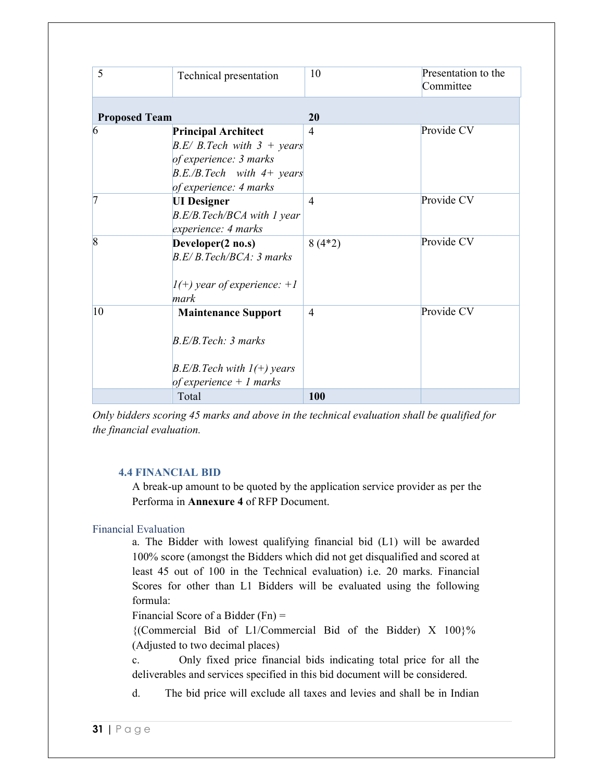| 5                    | Technical presentation                                                                                                                             | 10             | Presentation to the<br>Committee |
|----------------------|----------------------------------------------------------------------------------------------------------------------------------------------------|----------------|----------------------------------|
| <b>Proposed Team</b> |                                                                                                                                                    | 20             |                                  |
| 6                    | <b>Principal Architect</b><br>$B.E/ B. Tech with 3 + years$<br>of experience: 3 marks<br>$B.E./B. Tech \t with 4+ years$<br>of experience: 4 marks | 4              | Provide CV                       |
| 7                    | <b>UI</b> Designer<br>B.E/B.Tech/BCA with 1 year<br>experience: 4 marks                                                                            | $\overline{4}$ | Provide CV                       |
| 8                    | Developer(2 no.s)<br>B.E/B. Tech/BCA: 3 marks<br>$I(+)$ year of experience: +1<br>mark                                                             | $8(4*2)$       | Provide CV                       |
| 10                   | <b>Maintenance Support</b><br>B.E/B.Tech: 3 marks<br>$B.E/B. Tech with 1(+) years$<br>of experience $+1$ marks                                     | $\overline{4}$ | Provide CV                       |
|                      | Total                                                                                                                                              | 100            |                                  |

*Only bidders scoring 45 marks and above in the technical evaluation shall be qualified for the financial evaluation.* 

#### **4.4 FINANCIAL BID**

A break-up amount to be quoted by the application service provider as per the Performa in **Annexure 4** of RFP Document.

## Financial Evaluation

a. The Bidder with lowest qualifying financial bid (L1) will be awarded 100% score (amongst the Bidders which did not get disqualified and scored at least 45 out of 100 in the Technical evaluation) i.e. 20 marks. Financial Scores for other than L1 Bidders will be evaluated using the following formula:

Financial Score of a Bidder (Fn) =

{(Commercial Bid of L1/Commercial Bid of the Bidder) X 100}% (Adjusted to two decimal places)

c. Only fixed price financial bids indicating total price for all the deliverables and services specified in this bid document will be considered.

d. The bid price will exclude all taxes and levies and shall be in Indian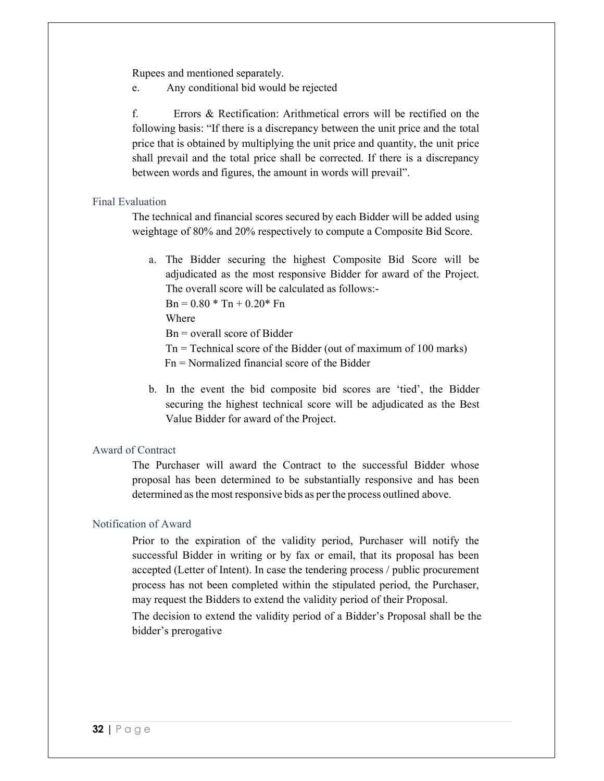Rupees and mentioned separately.

e. Any conditional bid would be rejected

f. Errors & Rectification: Arithmetical errors will be rectified on the following basis: "If there is a discrepancy between the unit price and the total price that is obtained by multiplying the unit price and quantity, the unit price shall prevail and the total price shall be corrected. If there is a discrepancy between words and figures, the amount in words will prevail".

#### Final Evaluation

The technical and financial scores secured by each Bidder will be added using weightage of 80% and 20% respectively to compute a Composite Bid Score.

a. The Bidder securing the highest Composite Bid Score will be adjudicated as the most responsive Bidder for award of the Project. The overall score will be calculated as follows:-

 $Bn = 0.80 * Tn + 0.20 * Fn$ 

Where

Bn = overall score of Bidder

- Tn = Technical score of the Bidder (out of maximum of 100 marks)
- Fn = Normalized financial score of the Bidder
- b. In the event the bid composite bid scores are 'tied', the Bidder securing the highest technical score will be adjudicated as the Best Value Bidder for award of the Project.

#### Award of Contract

The Purchaser will award the Contract to the successful Bidder whose proposal has been determined to be substantially responsive and has been determined as the most responsive bids as per the process outlined above.

#### Notification of Award

Prior to the expiration of the validity period, Purchaser will notify the successful Bidder in writing or by fax or email, that its proposal has been accepted (Letter of Intent). In case the tendering process / public procurement process has not been completed within the stipulated period, the Purchaser, may request the Bidders to extend the validity period of their Proposal.

The decision to extend the validity period of a Bidder's Proposal shall be the bidder's prerogative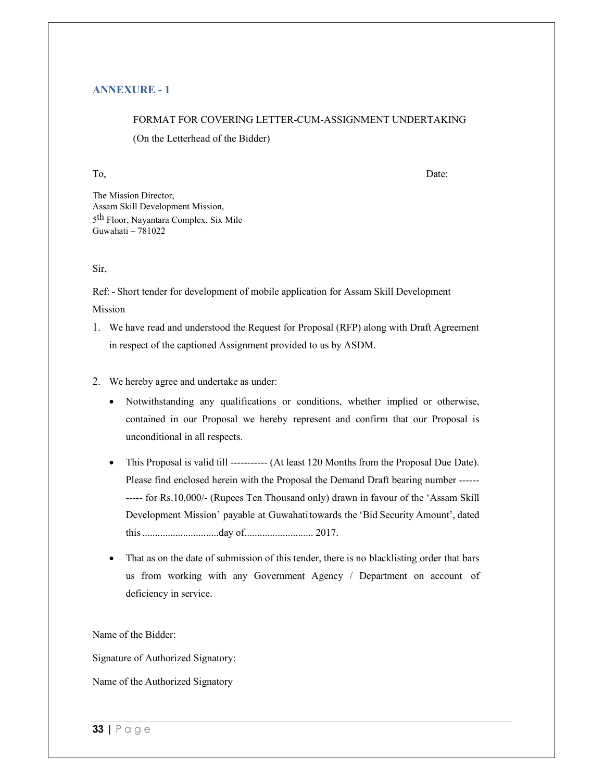#### **ANNEXURE - 1**

#### FORMAT FOR COVERING LETTER-CUM-ASSIGNMENT UNDERTAKING

(On the Letterhead of the Bidder)

To, Date:

The Mission Director, Assam Skill Development Mission, 5<sup>th</sup> Floor, Nayantara Complex, Six Mile Guwahati –  $781022$ 

#### Sir,

Ref: - Short tender for development of mobile application for Assam Skill Development Mission

- 1. We have read and understood the Request for Proposal (RFP) along with Draft Agreement in respect of the captioned Assignment provided to us by ASDM.
- 2. We hereby agree and undertake as under:
	- Notwithstanding any qualifications or conditions, whether implied or otherwise, contained in our Proposal we hereby represent and confirm that our Proposal is unconditional in all respects.
	- This Proposal is valid till ----------- (At least 120 Months from the Proposal Due Date). Please find enclosed herein with the Proposal the Demand Draft bearing number ------ ----- for Rs.10,000/- (Rupees Ten Thousand only) drawn in favour of the 'Assam Skill Development Mission' payable at Guwahati towards the 'Bid Security Amount', dated this ..............................day of........................... 2017.
	- That as on the date of submission of this tender, there is no blacklisting order that bars us from working with any Government Agency / Department on account of deficiency in service.

Name of the Bidder:

Signature of Authorized Signatory:

Name of the Authorized Signatory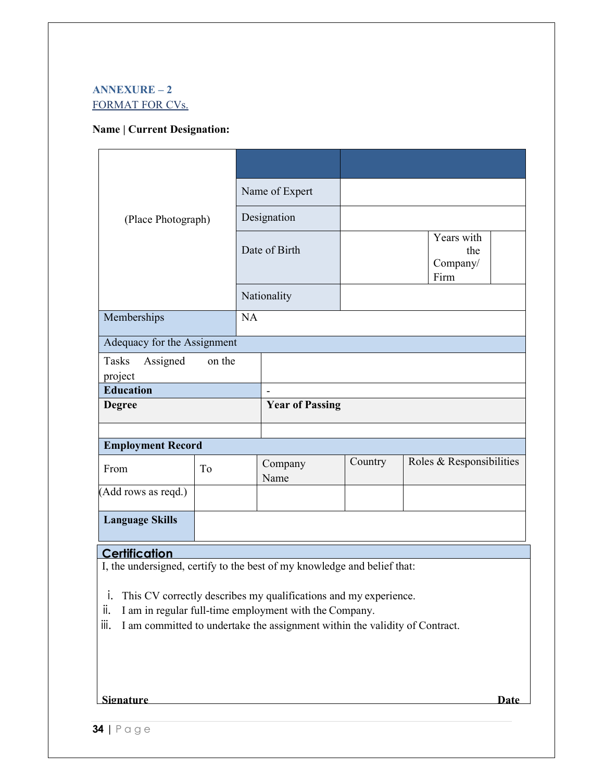## **ANNEXURE – 2**  FORMAT FOR CVs.

#### **Name | Current Designation:**

| (Place Photograph)           |                |               | Name of Expert         |         |                                       |  |
|------------------------------|----------------|---------------|------------------------|---------|---------------------------------------|--|
|                              |                | Designation   |                        |         |                                       |  |
|                              |                | Date of Birth |                        |         | Years with<br>the<br>Company/<br>Firm |  |
|                              |                |               | Nationality            |         |                                       |  |
| Memberships                  |                | NA            |                        |         |                                       |  |
| Adequacy for the Assignment  |                |               |                        |         |                                       |  |
| Tasks<br>Assigned<br>project | on the         |               |                        |         |                                       |  |
| <b>Education</b>             |                |               | $\blacksquare$         |         |                                       |  |
| <b>Degree</b>                |                |               | <b>Year of Passing</b> |         |                                       |  |
|                              |                |               |                        |         |                                       |  |
| <b>Employment Record</b>     |                |               |                        |         |                                       |  |
| From                         | T <sub>o</sub> |               | Company<br>Name        | Country | Roles & Responsibilities              |  |
| (Add rows as reqd.)          |                |               |                        |         |                                       |  |
| <b>Language Skills</b>       |                |               |                        |         |                                       |  |

## **Certification**

I, the undersigned, certify to the best of my knowledge and belief that:

- i. This CV correctly describes my qualifications and my experience.
- ii. I am in regular full-time employment with the Company.
- iii. I am committed to undertake the assignment within the validity of Contract.

#### **Signature Date**

**34 |** P a g e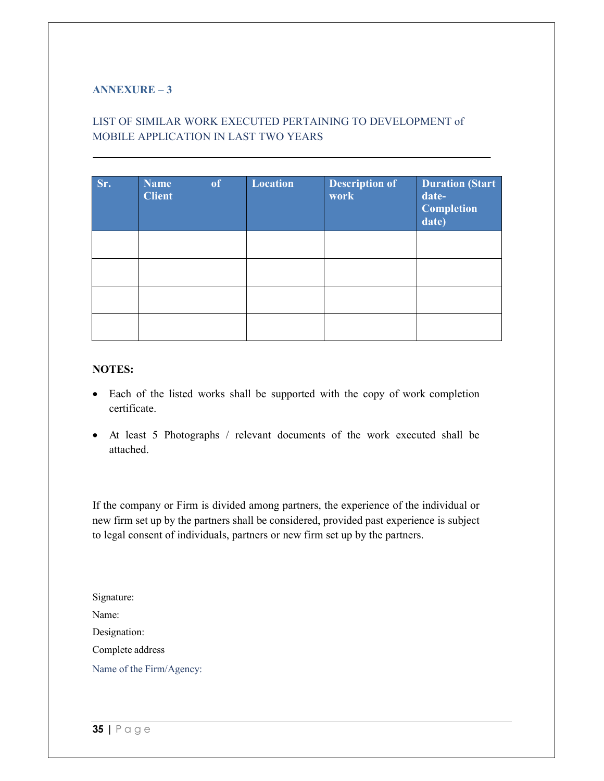## **ANNEXURE – 3**

# LIST OF SIMILAR WORK EXECUTED PERTAINING TO DEVELOPMENT of MOBILE APPLICATION IN LAST TWO YEARS

| Sr. | Name<br><b>Client</b> | of | <b>Location</b> | <b>Description of</b><br>work | <b>Duration (Start</b><br>date-<br><b>Completion</b><br>date) |
|-----|-----------------------|----|-----------------|-------------------------------|---------------------------------------------------------------|
|     |                       |    |                 |                               |                                                               |
|     |                       |    |                 |                               |                                                               |
|     |                       |    |                 |                               |                                                               |
|     |                       |    |                 |                               |                                                               |

### **NOTES:**

- Each of the listed works shall be supported with the copy of work completion certificate.
- At least 5 Photographs / relevant documents of the work executed shall be attached.

If the company or Firm is divided among partners, the experience of the individual or new firm set up by the partners shall be considered, provided past experience is subject to legal consent of individuals, partners or new firm set up by the partners.

Signature: Name: Designation: Complete address Name of the Firm/Agency: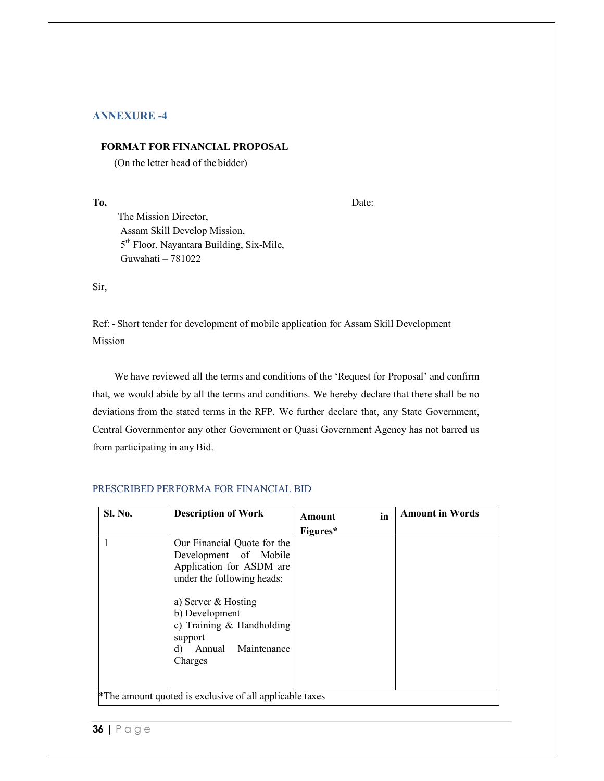#### **ANNEXURE -4**

#### **FORMAT FOR FINANCIAL PROPOSAL**

(On the letter head of the bidder)

**To,** Date:

The Mission Director, Assam Skill Develop Mission, 5th Floor, Nayantara Building, Six-Mile, Guwahati – 781022

Sir,

Ref: - Short tender for development of mobile application for Assam Skill Development Mission

 We have reviewed all the terms and conditions of the 'Request for Proposal' and confirm that, we would abide by all the terms and conditions. We hereby declare that there shall be no deviations from the stated terms in the RFP. We further declare that, any State Government, Central Governmentor any other Government or Quasi Government Agency has not barred us from participating in any Bid.

#### PRESCRIBED PERFORMA FOR FINANCIAL BID

| <b>Sl. No.</b> | <b>Description of Work</b>                                                                                                | in<br><b>Amount</b> | <b>Amount in Words</b> |
|----------------|---------------------------------------------------------------------------------------------------------------------------|---------------------|------------------------|
|                |                                                                                                                           | Figures*            |                        |
|                | Our Financial Quote for the<br>Development of Mobile<br>Application for ASDM are<br>under the following heads:            |                     |                        |
|                | a) Server & Hosting<br>b) Development<br>c) Training $&$ Handholding<br>support<br>Maintenance<br>Annual<br>d)<br>Charges |                     |                        |
|                | *The amount quoted is exclusive of all applicable taxes                                                                   |                     |                        |